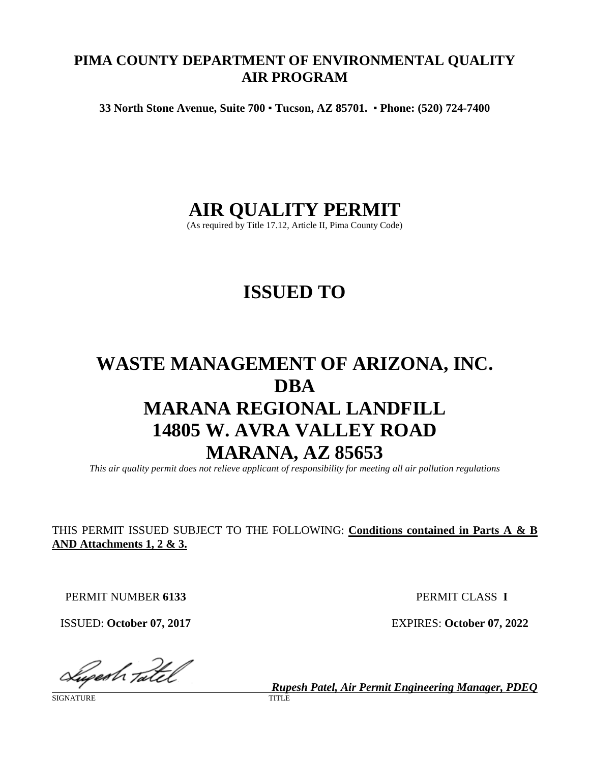# **PIMA COUNTY DEPARTMENT OF ENVIRONMENTAL QUALITY AIR PROGRAM**

**33 North Stone Avenue, Suite 700** ▪ **Tucson, AZ 85701.** ▪ **Phone: (520) 724-7400**

# **AIR QUALITY PERMIT**

(As required by Title 17.12, Article II, Pima County Code)

# **ISSUED TO**

# **WASTE MANAGEMENT OF ARIZONA, INC. DBA MARANA REGIONAL LANDFILL 14805 W. AVRA VALLEY ROAD MARANA, AZ 85653**

*This air quality permit does not relieve applicant of responsibility for meeting all air pollution regulations*

THIS PERMIT ISSUED SUBJECT TO THE FOLLOWING: **Conditions contained in Parts A & B AND Attachments 1, 2 & 3.**

PERMIT NUMBER **6133** PERMIT CLASS **I**

ISSUED: **October 07, 2017** EXPIRES: **October 07, 2022**

Sugestr Tatel

**SIGNATURE** 

*Rupesh Patel, Air Permit Engineering Manager, PDEQ*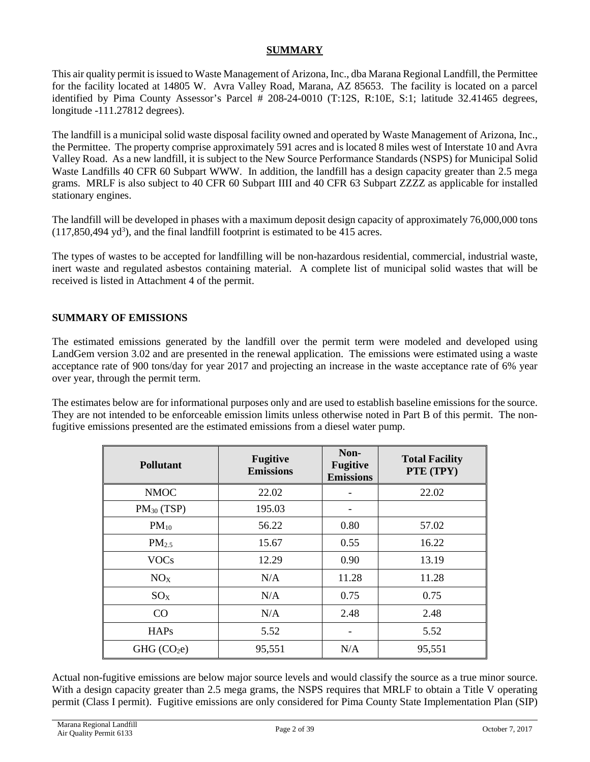#### **SUMMARY**

This air quality permit is issued to Waste Management of Arizona, Inc., dba Marana Regional Landfill, the Permittee for the facility located at 14805 W. Avra Valley Road, Marana, AZ 85653. The facility is located on a parcel identified by Pima County Assessor's Parcel # 208-24-0010 (T:12S, R:10E, S:1; latitude 32.41465 degrees, longitude -111.27812 degrees).

The landfill is a municipal solid waste disposal facility owned and operated by Waste Management of Arizona, Inc., the Permittee. The property comprise approximately 591 acres and is located 8 miles west of Interstate 10 and Avra Valley Road. As a new landfill, it is subject to the New Source Performance Standards (NSPS) for Municipal Solid Waste Landfills 40 CFR 60 Subpart WWW. In addition, the landfill has a design capacity greater than 2.5 mega grams. MRLF is also subject to 40 CFR 60 Subpart IIII and 40 CFR 63 Subpart ZZZZ as applicable for installed stationary engines.

The landfill will be developed in phases with a maximum deposit design capacity of approximately 76,000,000 tons  $(117,850,494 \text{ yd}^3)$ , and the final landfill footprint is estimated to be 415 acres.

The types of wastes to be accepted for landfilling will be non-hazardous residential, commercial, industrial waste, inert waste and regulated asbestos containing material. A complete list of municipal solid wastes that will be received is listed in Attachment 4 of the permit.

#### **SUMMARY OF EMISSIONS**

The estimated emissions generated by the landfill over the permit term were modeled and developed using LandGem version 3.02 and are presented in the renewal application. The emissions were estimated using a waste acceptance rate of 900 tons/day for year 2017 and projecting an increase in the waste acceptance rate of 6% year over year, through the permit term.

The estimates below are for informational purposes only and are used to establish baseline emissions for the source. They are not intended to be enforceable emission limits unless otherwise noted in Part B of this permit. The nonfugitive emissions presented are the estimated emissions from a diesel water pump.

| <b>Pollutant</b>        | <b>Fugitive</b><br><b>Emissions</b> | Non-<br><b>Fugitive</b><br><b>Emissions</b> | <b>Total Facility</b><br>PTE (TPY) |
|-------------------------|-------------------------------------|---------------------------------------------|------------------------------------|
| <b>NMOC</b>             | 22.02                               |                                             | 22.02                              |
| $PM_{30}$ (TSP)         | 195.03                              |                                             |                                    |
| $PM_{10}$               | 56.22                               | 0.80                                        | 57.02                              |
| PM <sub>2.5</sub>       | 15.67                               | 0.55                                        | 16.22                              |
| <b>VOCs</b>             | 12.29                               | 0.90                                        | 13.19                              |
| NO <sub>X</sub>         | N/A                                 | 11.28                                       | 11.28                              |
| $SO_{X}$                | N/A                                 | 0.75                                        | 0.75                               |
| CO                      | N/A                                 | 2.48                                        | 2.48                               |
| <b>HAPs</b>             | 5.52                                |                                             | 5.52                               |
| GHG (CO <sub>2</sub> e) | 95,551                              | N/A                                         | 95,551                             |

Actual non-fugitive emissions are below major source levels and would classify the source as a true minor source. With a design capacity greater than 2.5 mega grams, the NSPS requires that MRLF to obtain a Title V operating permit (Class I permit). Fugitive emissions are only considered for Pima County State Implementation Plan (SIP)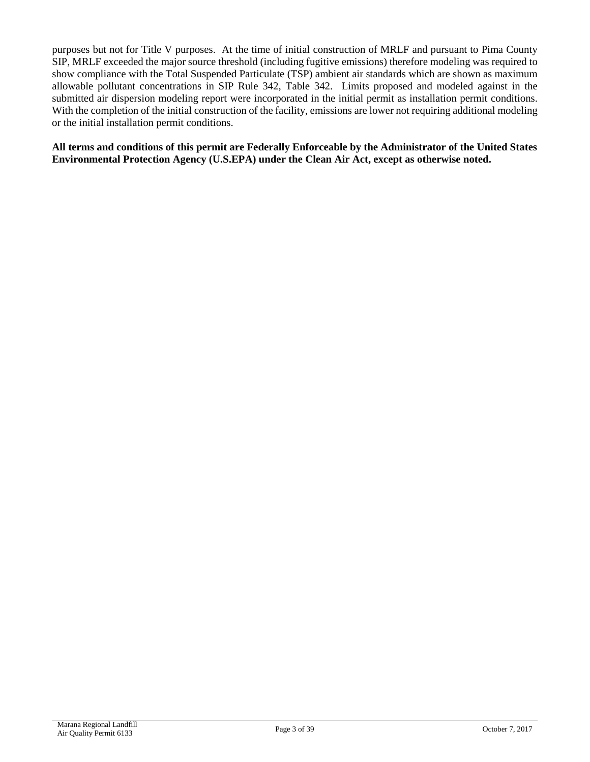purposes but not for Title V purposes. At the time of initial construction of MRLF and pursuant to Pima County SIP, MRLF exceeded the major source threshold (including fugitive emissions) therefore modeling was required to show compliance with the Total Suspended Particulate (TSP) ambient air standards which are shown as maximum allowable pollutant concentrations in SIP Rule 342, Table 342. Limits proposed and modeled against in the submitted air dispersion modeling report were incorporated in the initial permit as installation permit conditions. With the completion of the initial construction of the facility, emissions are lower not requiring additional modeling or the initial installation permit conditions.

**All terms and conditions of this permit are Federally Enforceable by the Administrator of the United States Environmental Protection Agency (U.S.EPA) under the Clean Air Act, except as otherwise noted.**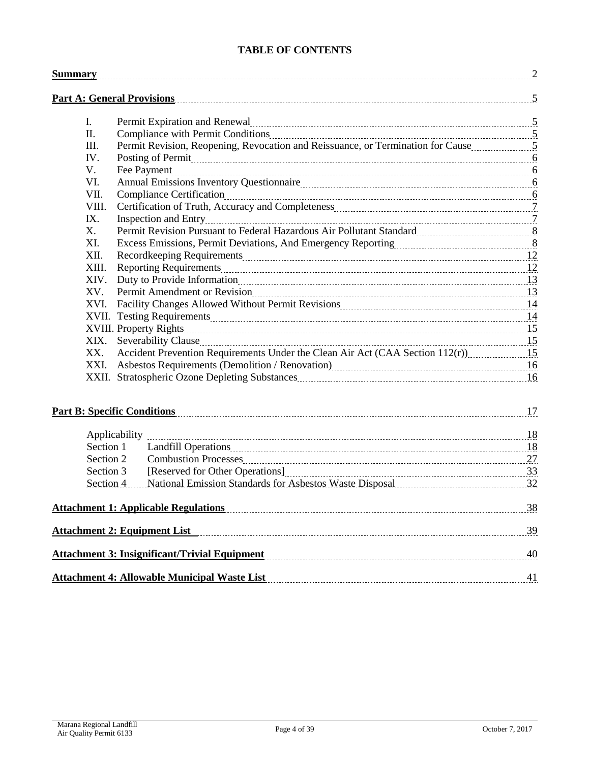# **TABLE OF CONTENTS**

| <b>Summary</b> |                                                                                                                                                                                                                                      |     |
|----------------|--------------------------------------------------------------------------------------------------------------------------------------------------------------------------------------------------------------------------------------|-----|
|                | <b>Part A: General Provisions</b>                                                                                                                                                                                                    |     |
| I.             | Permit Expiration and Renewal <u>manual contract the set of the set of the set of the set of the set of the set of the set of the set of the set of the set of the set of the set of the set of the set of the set of the set of</u> |     |
| Π.             |                                                                                                                                                                                                                                      |     |
| Ш.             | Permit Revision, Reopening, Revocation and Reissuance, or Termination for Cause materials.                                                                                                                                           |     |
| IV.            | Posting of Permit <u>mate communications</u> and the contract of the contract of the contract of the contract of the contract of the contract of the contract of the contract of the contract of the contract of the contract of th  |     |
| V.             |                                                                                                                                                                                                                                      |     |
| VI.            |                                                                                                                                                                                                                                      |     |
| VII.           |                                                                                                                                                                                                                                      |     |
| VIII.          |                                                                                                                                                                                                                                      |     |
| IX.            |                                                                                                                                                                                                                                      |     |
| Χ.             | Permit Revision Pursuant to Federal Hazardous Air Pollutant Standard [11, 2011] [12] 8                                                                                                                                               |     |
| XI.            | Excess Emissions, Permit Deviations, And Emergency Reporting [11, 2013] [12, 2014] [13, 2015] [13, 2016] [13, 2016] [13, 2016] [13, 2016] [13, 2016] [13, 2016] [13, 2016] [13, 2016] [13, 2016] [13, 2016] [13, 2016] [13, 20       |     |
| XII.           |                                                                                                                                                                                                                                      |     |
| XIII.          | Reporting Requirements 2000 million and the contract of the Reporting Requirements 2000 million and the Reporting Requirements 2000 million and the Reporting Requirements 2000 million and 2000 million and 2000 million and        |     |
| XIV.           |                                                                                                                                                                                                                                      |     |
| XV.            |                                                                                                                                                                                                                                      |     |
| XVI.           |                                                                                                                                                                                                                                      |     |
|                |                                                                                                                                                                                                                                      |     |
|                |                                                                                                                                                                                                                                      |     |
| XIX.           |                                                                                                                                                                                                                                      |     |
| XX.            |                                                                                                                                                                                                                                      |     |
| XXI.           | Asbestos Requirements (Demolition / Renovation)<br>16                                                                                                                                                                                |     |
|                |                                                                                                                                                                                                                                      |     |
|                |                                                                                                                                                                                                                                      |     |
|                | Applicability                                                                                                                                                                                                                        |     |
| Section 1      |                                                                                                                                                                                                                                      |     |
| Section 2      |                                                                                                                                                                                                                                      |     |
| Section 3      |                                                                                                                                                                                                                                      |     |
| Section 4      | National Emission Standards for Asbestos Waste Disposal 2014 1997 18:00 18:00 18:00 18:00 18:00 18:00 18:00 19                                                                                                                       |     |
|                | Attachment 1: Applicable Regulations [11] March 2014 1: Applicable Regulations [11] March 2014 11: Applicable Regulations [11] March 2014 12: 238                                                                                    |     |
|                | <b>Attachment 2: Equipment List</b>                                                                                                                                                                                                  |     |
|                |                                                                                                                                                                                                                                      | 40  |
|                |                                                                                                                                                                                                                                      | .41 |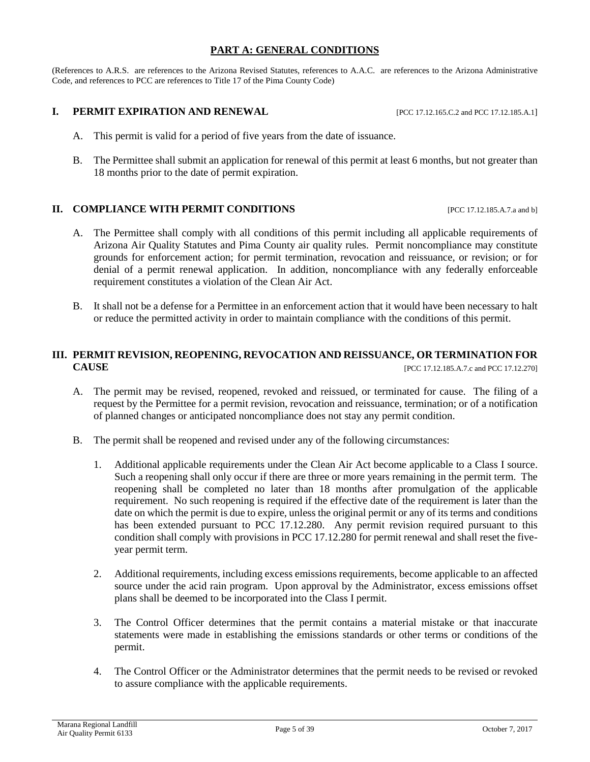#### **PART A: GENERAL CONDITIONS**

(References to A.R.S. are references to the Arizona Revised Statutes, references to A.A.C. are references to the Arizona Administrative Code, and references to PCC are references to Title 17 of the Pima County Code)

#### **I. PERMIT EXPIRATION AND RENEWAL** [PCC 17.12.165.C.2 and PCC 17.12.185.A.1]

- A. This permit is valid for a period of five years from the date of issuance.
- B. The Permittee shall submit an application for renewal of this permit at least 6 months, but not greater than 18 months prior to the date of permit expiration.

#### **II. COMPLIANCE WITH PERMIT CONDITIONS** [PCC 17.12.185.A.7.a and b]

- A. The Permittee shall comply with all conditions of this permit including all applicable requirements of Arizona Air Quality Statutes and Pima County air quality rules. Permit noncompliance may constitute grounds for enforcement action; for permit termination, revocation and reissuance, or revision; or for denial of a permit renewal application. In addition, noncompliance with any federally enforceable requirement constitutes a violation of the Clean Air Act.
- B. It shall not be a defense for a Permittee in an enforcement action that it would have been necessary to halt or reduce the permitted activity in order to maintain compliance with the conditions of this permit.

#### **III. PERMIT REVISION, REOPENING, REVOCATION AND REISSUANCE, OR TERMINATION FOR CAUSE** [PCC 17.12.185.A.7.c and PCC 17.12.270]

- A. The permit may be revised, reopened, revoked and reissued, or terminated for cause. The filing of a request by the Permittee for a permit revision, revocation and reissuance, termination; or of a notification of planned changes or anticipated noncompliance does not stay any permit condition.
- B. The permit shall be reopened and revised under any of the following circumstances:
	- 1. Additional applicable requirements under the Clean Air Act become applicable to a Class I source. Such a reopening shall only occur if there are three or more years remaining in the permit term. The reopening shall be completed no later than 18 months after promulgation of the applicable requirement. No such reopening is required if the effective date of the requirement is later than the date on which the permit is due to expire, unless the original permit or any of its terms and conditions has been extended pursuant to PCC 17.12.280. Any permit revision required pursuant to this condition shall comply with provisions in PCC 17.12.280 for permit renewal and shall reset the fiveyear permit term.
	- 2. Additional requirements, including excess emissions requirements, become applicable to an affected source under the acid rain program. Upon approval by the Administrator, excess emissions offset plans shall be deemed to be incorporated into the Class I permit.
	- 3. The Control Officer determines that the permit contains a material mistake or that inaccurate statements were made in establishing the emissions standards or other terms or conditions of the permit.
	- 4. The Control Officer or the Administrator determines that the permit needs to be revised or revoked to assure compliance with the applicable requirements.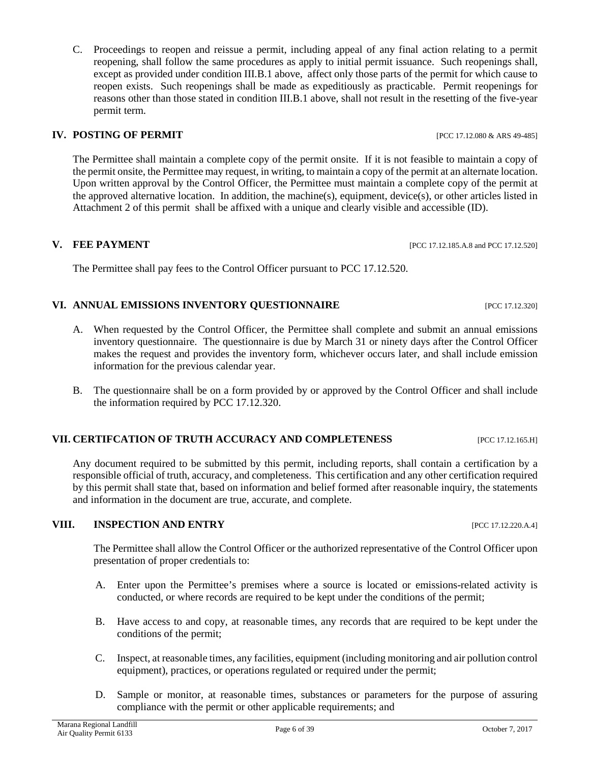C. Proceedings to reopen and reissue a permit, including appeal of any final action relating to a permit reopening, shall follow the same procedures as apply to initial permit issuance. Such reopenings shall, except as provided under condition III.B.1 above, affect only those parts of the permit for which cause to reopen exists. Such reopenings shall be made as expeditiously as practicable. Permit reopenings for reasons other than those stated in condition III.B.1 above, shall not result in the resetting of the five-year permit term.

### **IV. POSTING OF PERMIT IV. POSTING OF PERMIT**

The Permittee shall maintain a complete copy of the permit onsite. If it is not feasible to maintain a copy of the permit onsite, the Permittee may request, in writing, to maintain a copy of the permit at an alternate location. Upon written approval by the Control Officer, the Permittee must maintain a complete copy of the permit at the approved alternative location. In addition, the machine(s), equipment, device(s), or other articles listed in Attachment 2 of this permit shall be affixed with a unique and clearly visible and accessible (ID).

#### **V. FEE PAYMENT [PCC 17.12.185.A.8 and PCC 17.12.520]**

The Permittee shall pay fees to the Control Officer pursuant to PCC 17.12.520.

#### **VI. ANNUAL EMISSIONS INVENTORY QUESTIONNAIRE** [PCC 17.12.320]

- A. When requested by the Control Officer, the Permittee shall complete and submit an annual emissions inventory questionnaire. The questionnaire is due by March 31 or ninety days after the Control Officer makes the request and provides the inventory form, whichever occurs later, and shall include emission information for the previous calendar year.
- B. The questionnaire shall be on a form provided by or approved by the Control Officer and shall include the information required by PCC 17.12.320.

#### **VII. CERTIFCATION OF TRUTH ACCURACY AND COMPLETENESS** [PCC 17.12.165.H]

Any document required to be submitted by this permit, including reports, shall contain a certification by a responsible official of truth, accuracy, and completeness. This certification and any other certification required by this permit shall state that, based on information and belief formed after reasonable inquiry, the statements and information in the document are true, accurate, and complete.

#### **VIII. INSPECTION AND ENTRY** [PCC 17.12.220.A.4]

The Permittee shall allow the Control Officer or the authorized representative of the Control Officer upon presentation of proper credentials to:

- A. Enter upon the Permittee's premises where a source is located or emissions-related activity is conducted, or where records are required to be kept under the conditions of the permit;
- B. Have access to and copy, at reasonable times, any records that are required to be kept under the conditions of the permit;
- C. Inspect, at reasonable times, any facilities, equipment (including monitoring and air pollution control equipment), practices, or operations regulated or required under the permit;
- D. Sample or monitor, at reasonable times, substances or parameters for the purpose of assuring compliance with the permit or other applicable requirements; and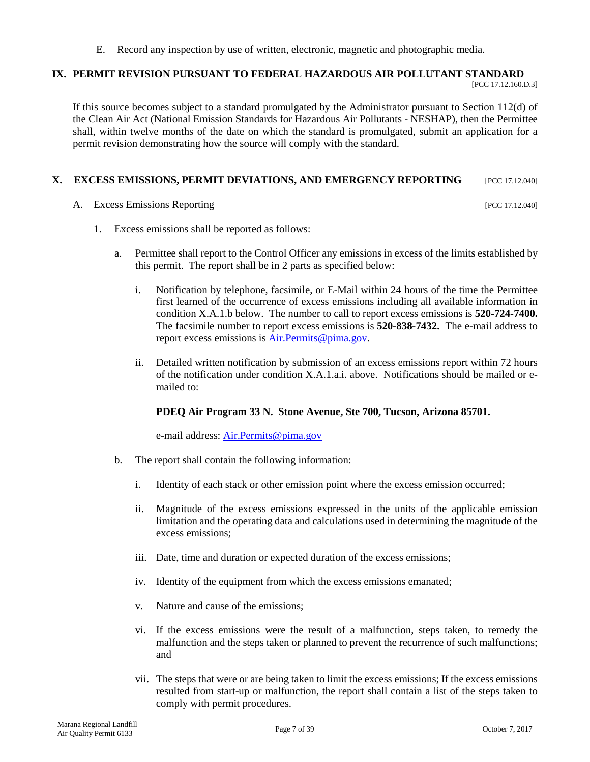E. Record any inspection by use of written, electronic, magnetic and photographic media.

#### **IX. PERMIT REVISION PURSUANT TO FEDERAL HAZARDOUS AIR POLLUTANT STANDARD** [PCC 17.12.160.D.3]

If this source becomes subject to a standard promulgated by the Administrator pursuant to Section 112(d) of the Clean Air Act (National Emission Standards for Hazardous Air Pollutants - NESHAP), then the Permittee shall, within twelve months of the date on which the standard is promulgated, submit an application for a permit revision demonstrating how the source will comply with the standard.

## **X. EXCESS EMISSIONS, PERMIT DEVIATIONS, AND EMERGENCY REPORTING** [PCC 17.12.040]

A. Excess Emissions Reporting [PCC 17.12.040]

- 1. Excess emissions shall be reported as follows:
	- a. Permittee shall report to the Control Officer any emissions in excess of the limits established by this permit. The report shall be in 2 parts as specified below:
		- i. Notification by telephone, facsimile, or E-Mail within 24 hours of the time the Permittee first learned of the occurrence of excess emissions including all available information in condition X.A.1.b below. The number to call to report excess emissions is **520-724-7400.**  The facsimile number to report excess emissions is **520-838-7432.** The e-mail address to report excess emissions is **Air.Permits@pima.gov.**
		- ii. Detailed written notification by submission of an excess emissions report within 72 hours of the notification under condition X.A.1.a.i. above. Notifications should be mailed or emailed to:

#### **PDEQ Air Program 33 N. Stone Avenue, Ste 700, Tucson, Arizona 85701.**

e-mail address: [Air.Permits@pima.gov](mailto:Air.Permits@pima.gov)

- b. The report shall contain the following information:
	- i. Identity of each stack or other emission point where the excess emission occurred;
	- ii. Magnitude of the excess emissions expressed in the units of the applicable emission limitation and the operating data and calculations used in determining the magnitude of the excess emissions;
	- iii. Date, time and duration or expected duration of the excess emissions;
	- iv. Identity of the equipment from which the excess emissions emanated;
	- v. Nature and cause of the emissions;
	- vi. If the excess emissions were the result of a malfunction, steps taken, to remedy the malfunction and the steps taken or planned to prevent the recurrence of such malfunctions; and
	- vii. The steps that were or are being taken to limit the excess emissions; If the excess emissions resulted from start-up or malfunction, the report shall contain a list of the steps taken to comply with permit procedures.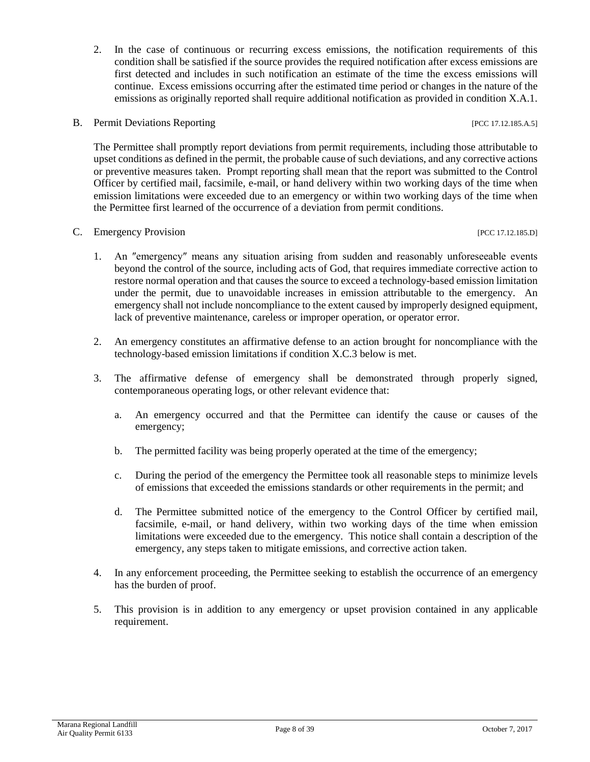2. In the case of continuous or recurring excess emissions, the notification requirements of this condition shall be satisfied if the source provides the required notification after excess emissions are first detected and includes in such notification an estimate of the time the excess emissions will continue. Excess emissions occurring after the estimated time period or changes in the nature of the emissions as originally reported shall require additional notification as provided in condition X.A.1.

#### B. Permit Deviations Reporting [PCC 17.12.185.A.5]

The Permittee shall promptly report deviations from permit requirements, including those attributable to upset conditions as defined in the permit, the probable cause of such deviations, and any corrective actions or preventive measures taken. Prompt reporting shall mean that the report was submitted to the Control Officer by certified mail, facsimile, e-mail, or hand delivery within two working days of the time when emission limitations were exceeded due to an emergency or within two working days of the time when the Permittee first learned of the occurrence of a deviation from permit conditions.

#### C. Emergency Provision [PCC 17.12.185.D]

- 1. An ″emergency″ means any situation arising from sudden and reasonably unforeseeable events beyond the control of the source, including acts of God, that requires immediate corrective action to restore normal operation and that causes the source to exceed a technology-based emission limitation under the permit, due to unavoidable increases in emission attributable to the emergency. An emergency shall not include noncompliance to the extent caused by improperly designed equipment, lack of preventive maintenance, careless or improper operation, or operator error.
- 2. An emergency constitutes an affirmative defense to an action brought for noncompliance with the technology-based emission limitations if condition X.C.3 below is met.
- 3. The affirmative defense of emergency shall be demonstrated through properly signed, contemporaneous operating logs, or other relevant evidence that:
	- a. An emergency occurred and that the Permittee can identify the cause or causes of the emergency;
	- b. The permitted facility was being properly operated at the time of the emergency;
	- c. During the period of the emergency the Permittee took all reasonable steps to minimize levels of emissions that exceeded the emissions standards or other requirements in the permit; and
	- d. The Permittee submitted notice of the emergency to the Control Officer by certified mail, facsimile, e-mail, or hand delivery, within two working days of the time when emission limitations were exceeded due to the emergency. This notice shall contain a description of the emergency, any steps taken to mitigate emissions, and corrective action taken.
- 4. In any enforcement proceeding, the Permittee seeking to establish the occurrence of an emergency has the burden of proof.
- 5. This provision is in addition to any emergency or upset provision contained in any applicable requirement.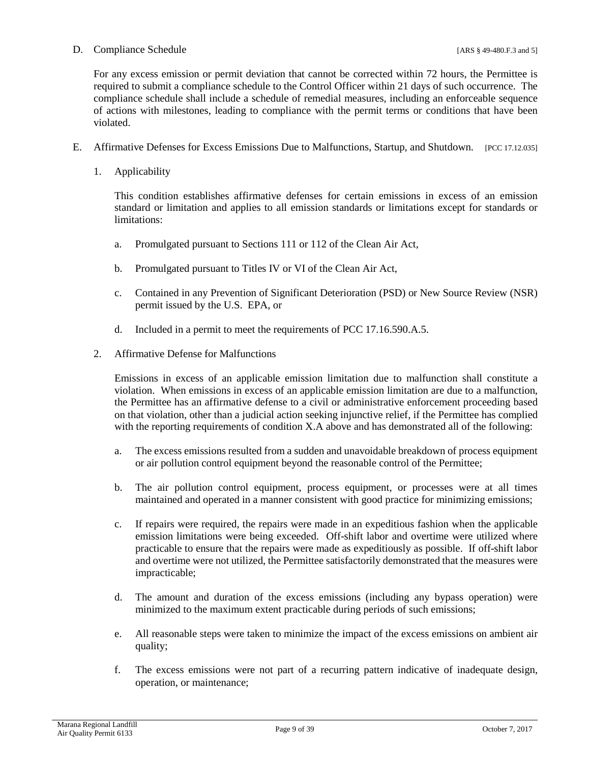#### D. Compliance Schedule [ARS § 49-480.F.3 and 5]

For any excess emission or permit deviation that cannot be corrected within 72 hours, the Permittee is required to submit a compliance schedule to the Control Officer within 21 days of such occurrence. The compliance schedule shall include a schedule of remedial measures, including an enforceable sequence of actions with milestones, leading to compliance with the permit terms or conditions that have been violated.

- E. Affirmative Defenses for Excess Emissions Due to Malfunctions, Startup, and Shutdown. [PCC 17.12.035]
	- 1. Applicability

This condition establishes affirmative defenses for certain emissions in excess of an emission standard or limitation and applies to all emission standards or limitations except for standards or limitations:

- a. Promulgated pursuant to Sections 111 or 112 of the Clean Air Act,
- b. Promulgated pursuant to Titles IV or VI of the Clean Air Act,
- c. Contained in any Prevention of Significant Deterioration (PSD) or New Source Review (NSR) permit issued by the U.S. EPA, or
- d. Included in a permit to meet the requirements of PCC 17.16.590.A.5.
- 2. Affirmative Defense for Malfunctions

Emissions in excess of an applicable emission limitation due to malfunction shall constitute a violation. When emissions in excess of an applicable emission limitation are due to a malfunction, the Permittee has an affirmative defense to a civil or administrative enforcement proceeding based on that violation, other than a judicial action seeking injunctive relief, if the Permittee has complied with the reporting requirements of condition X.A above and has demonstrated all of the following:

- a. The excess emissions resulted from a sudden and unavoidable breakdown of process equipment or air pollution control equipment beyond the reasonable control of the Permittee;
- b. The air pollution control equipment, process equipment, or processes were at all times maintained and operated in a manner consistent with good practice for minimizing emissions;
- c. If repairs were required, the repairs were made in an expeditious fashion when the applicable emission limitations were being exceeded. Off-shift labor and overtime were utilized where practicable to ensure that the repairs were made as expeditiously as possible. If off-shift labor and overtime were not utilized, the Permittee satisfactorily demonstrated that the measures were impracticable;
- d. The amount and duration of the excess emissions (including any bypass operation) were minimized to the maximum extent practicable during periods of such emissions;
- e. All reasonable steps were taken to minimize the impact of the excess emissions on ambient air quality;
- f. The excess emissions were not part of a recurring pattern indicative of inadequate design, operation, or maintenance;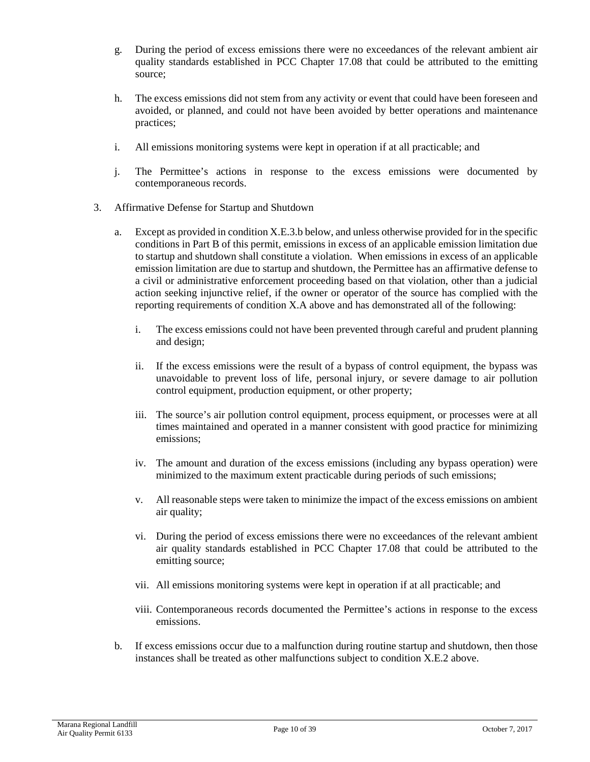- g. During the period of excess emissions there were no exceedances of the relevant ambient air quality standards established in PCC Chapter 17.08 that could be attributed to the emitting source;
- h. The excess emissions did not stem from any activity or event that could have been foreseen and avoided, or planned, and could not have been avoided by better operations and maintenance practices;
- i. All emissions monitoring systems were kept in operation if at all practicable; and
- j. The Permittee's actions in response to the excess emissions were documented by contemporaneous records.
- 3. Affirmative Defense for Startup and Shutdown
	- a. Except as provided in condition X.E.3.b below, and unless otherwise provided for in the specific conditions in Part B of this permit, emissions in excess of an applicable emission limitation due to startup and shutdown shall constitute a violation. When emissions in excess of an applicable emission limitation are due to startup and shutdown, the Permittee has an affirmative defense to a civil or administrative enforcement proceeding based on that violation, other than a judicial action seeking injunctive relief, if the owner or operator of the source has complied with the reporting requirements of condition X.A above and has demonstrated all of the following:
		- i. The excess emissions could not have been prevented through careful and prudent planning and design;
		- ii. If the excess emissions were the result of a bypass of control equipment, the bypass was unavoidable to prevent loss of life, personal injury, or severe damage to air pollution control equipment, production equipment, or other property;
		- iii. The source's air pollution control equipment, process equipment, or processes were at all times maintained and operated in a manner consistent with good practice for minimizing emissions;
		- iv. The amount and duration of the excess emissions (including any bypass operation) were minimized to the maximum extent practicable during periods of such emissions;
		- v. All reasonable steps were taken to minimize the impact of the excess emissions on ambient air quality;
		- vi. During the period of excess emissions there were no exceedances of the relevant ambient air quality standards established in PCC Chapter 17.08 that could be attributed to the emitting source;
		- vii. All emissions monitoring systems were kept in operation if at all practicable; and
		- viii. Contemporaneous records documented the Permittee's actions in response to the excess emissions.
	- b. If excess emissions occur due to a malfunction during routine startup and shutdown, then those instances shall be treated as other malfunctions subject to condition X.E.2 above.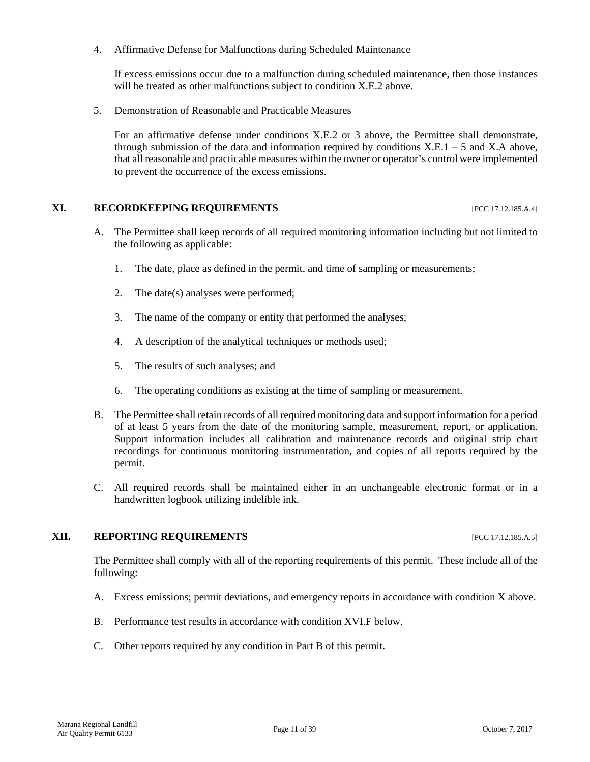4. Affirmative Defense for Malfunctions during Scheduled Maintenance

If excess emissions occur due to a malfunction during scheduled maintenance, then those instances will be treated as other malfunctions subject to condition X.E.2 above.

5. Demonstration of Reasonable and Practicable Measures

For an affirmative defense under conditions X.E.2 or 3 above, the Permittee shall demonstrate, through submission of the data and information required by conditions  $X.E.1 - 5$  and  $X.A$  above, that all reasonable and practicable measures within the owner or operator's control were implemented to prevent the occurrence of the excess emissions.

#### **XI. RECORDKEEPING REQUIREMENTS** [PCC 17.12.185.A.4]

- A. The Permittee shall keep records of all required monitoring information including but not limited to the following as applicable:
	- 1. The date, place as defined in the permit, and time of sampling or measurements;
	- 2. The date(s) analyses were performed;
	- 3. The name of the company or entity that performed the analyses;
	- 4. A description of the analytical techniques or methods used;
	- 5. The results of such analyses; and
	- 6. The operating conditions as existing at the time of sampling or measurement.
- B. The Permittee shall retain records of all required monitoring data and support information for a period of at least 5 years from the date of the monitoring sample, measurement, report, or application. Support information includes all calibration and maintenance records and original strip chart recordings for continuous monitoring instrumentation, and copies of all reports required by the permit.
- C. All required records shall be maintained either in an unchangeable electronic format or in a handwritten logbook utilizing indelible ink.

#### **XII. REPORTING REQUIREMENTS** [PCC 17.12.185.A.5]

The Permittee shall comply with all of the reporting requirements of this permit. These include all of the following:

- A. Excess emissions; permit deviations, and emergency reports in accordance with condition X above.
- B. Performance test results in accordance with condition XVI.F below.
- C. Other reports required by any condition in Part B of this permit.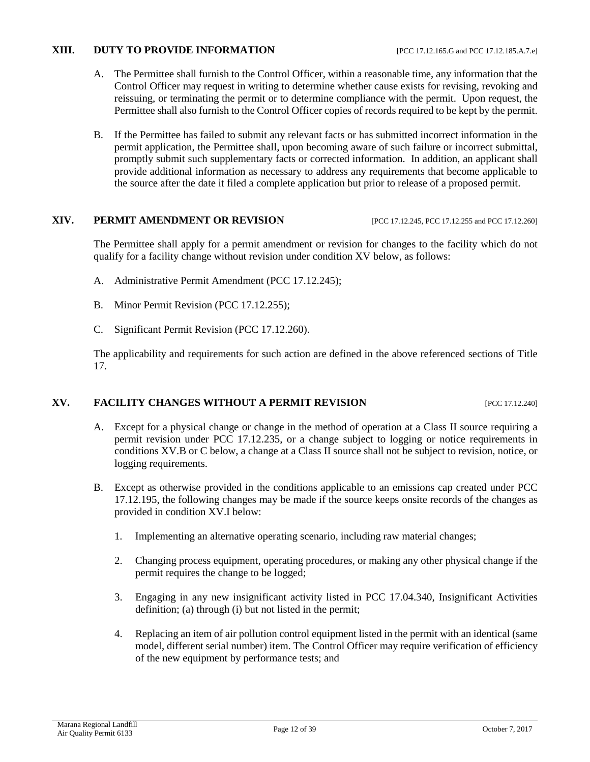#### **XIII. DUTY TO PROVIDE INFORMATION** [PCC 17.12.165.G and PCC 17.12.185.A.7.e]

- A. The Permittee shall furnish to the Control Officer, within a reasonable time, any information that the Control Officer may request in writing to determine whether cause exists for revising, revoking and reissuing, or terminating the permit or to determine compliance with the permit. Upon request, the Permittee shall also furnish to the Control Officer copies of records required to be kept by the permit.
- B. If the Permittee has failed to submit any relevant facts or has submitted incorrect information in the permit application, the Permittee shall, upon becoming aware of such failure or incorrect submittal, promptly submit such supplementary facts or corrected information. In addition, an applicant shall provide additional information as necessary to address any requirements that become applicable to the source after the date it filed a complete application but prior to release of a proposed permit.

#### **XIV. PERMIT AMENDMENT OR REVISION** [PCC 17.12.245, PCC 17.12.255 and PCC 17.12.260]

The Permittee shall apply for a permit amendment or revision for changes to the facility which do not qualify for a facility change without revision under condition XV below, as follows:

- A. Administrative Permit Amendment (PCC 17.12.245);
- B. Minor Permit Revision (PCC 17.12.255);
- C. Significant Permit Revision (PCC 17.12.260).

The applicability and requirements for such action are defined in the above referenced sections of Title 17.

#### **XV. FACILITY CHANGES WITHOUT A PERMIT REVISION [PCC 17.12.240]**

- A. Except for a physical change or change in the method of operation at a Class II source requiring a permit revision under PCC 17.12.235, or a change subject to logging or notice requirements in conditions XV.B or C below, a change at a Class II source shall not be subject to revision, notice, or logging requirements.
- B. Except as otherwise provided in the conditions applicable to an emissions cap created under PCC 17.12.195, the following changes may be made if the source keeps onsite records of the changes as provided in condition XV.I below:
	- 1. Implementing an alternative operating scenario, including raw material changes;
	- 2. Changing process equipment, operating procedures, or making any other physical change if the permit requires the change to be logged;
	- 3. Engaging in any new insignificant activity listed in PCC 17.04.340, Insignificant Activities definition; (a) through (i) but not listed in the permit;
	- 4. Replacing an item of air pollution control equipment listed in the permit with an identical (same model, different serial number) item. The Control Officer may require verification of efficiency of the new equipment by performance tests; and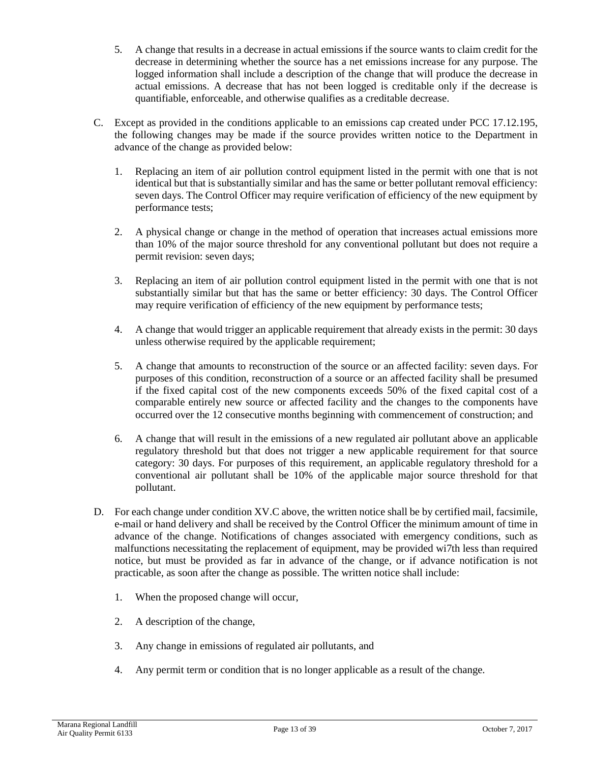- 5. A change that results in a decrease in actual emissions if the source wants to claim credit for the decrease in determining whether the source has a net emissions increase for any purpose. The logged information shall include a description of the change that will produce the decrease in actual emissions. A decrease that has not been logged is creditable only if the decrease is quantifiable, enforceable, and otherwise qualifies as a creditable decrease.
- C. Except as provided in the conditions applicable to an emissions cap created under PCC 17.12.195, the following changes may be made if the source provides written notice to the Department in advance of the change as provided below:
	- 1. Replacing an item of air pollution control equipment listed in the permit with one that is not identical but that is substantially similar and has the same or better pollutant removal efficiency: seven days. The Control Officer may require verification of efficiency of the new equipment by performance tests;
	- 2. A physical change or change in the method of operation that increases actual emissions more than 10% of the major source threshold for any conventional pollutant but does not require a permit revision: seven days;
	- 3. Replacing an item of air pollution control equipment listed in the permit with one that is not substantially similar but that has the same or better efficiency: 30 days. The Control Officer may require verification of efficiency of the new equipment by performance tests;
	- 4. A change that would trigger an applicable requirement that already exists in the permit: 30 days unless otherwise required by the applicable requirement;
	- 5. A change that amounts to reconstruction of the source or an affected facility: seven days. For purposes of this condition, reconstruction of a source or an affected facility shall be presumed if the fixed capital cost of the new components exceeds 50% of the fixed capital cost of a comparable entirely new source or affected facility and the changes to the components have occurred over the 12 consecutive months beginning with commencement of construction; and
	- 6. A change that will result in the emissions of a new regulated air pollutant above an applicable regulatory threshold but that does not trigger a new applicable requirement for that source category: 30 days. For purposes of this requirement, an applicable regulatory threshold for a conventional air pollutant shall be 10% of the applicable major source threshold for that pollutant.
- D. For each change under condition XV.C above, the written notice shall be by certified mail, facsimile, e-mail or hand delivery and shall be received by the Control Officer the minimum amount of time in advance of the change. Notifications of changes associated with emergency conditions, such as malfunctions necessitating the replacement of equipment, may be provided wi7th less than required notice, but must be provided as far in advance of the change, or if advance notification is not practicable, as soon after the change as possible. The written notice shall include:
	- 1. When the proposed change will occur,
	- 2. A description of the change,
	- 3. Any change in emissions of regulated air pollutants, and
	- 4. Any permit term or condition that is no longer applicable as a result of the change.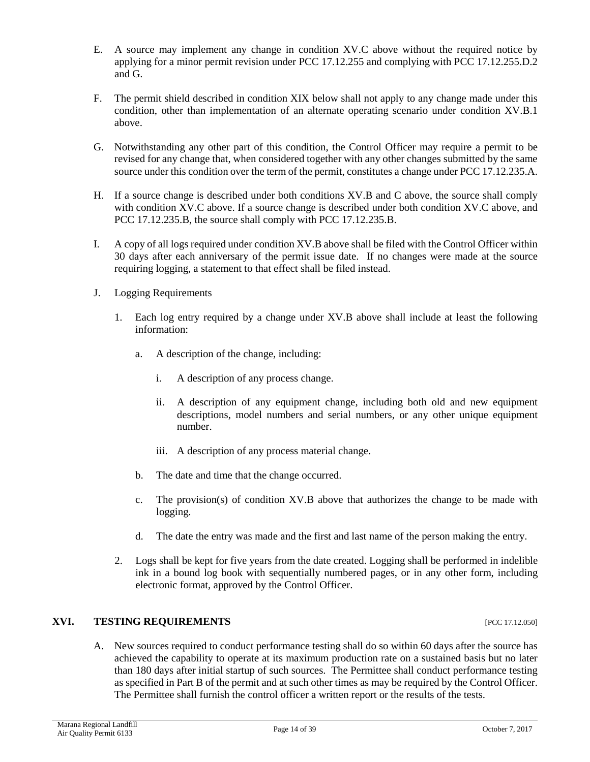- E. A source may implement any change in condition XV.C above without the required notice by applying for a minor permit revision under PCC 17.12.255 and complying with PCC 17.12.255.D.2 and G.
- F. The permit shield described in condition XIX below shall not apply to any change made under this condition, other than implementation of an alternate operating scenario under condition XV.B.1 above.
- G. Notwithstanding any other part of this condition, the Control Officer may require a permit to be revised for any change that, when considered together with any other changes submitted by the same source under this condition over the term of the permit, constitutes a change under PCC 17.12.235.A.
- H. If a source change is described under both conditions XV.B and C above, the source shall comply with condition XV.C above. If a source change is described under both condition XV.C above, and PCC 17.12.235.B, the source shall comply with PCC 17.12.235.B.
- I. A copy of all logs required under condition XV.B above shall be filed with the Control Officer within 30 days after each anniversary of the permit issue date. If no changes were made at the source requiring logging, a statement to that effect shall be filed instead.
- J. Logging Requirements
	- 1. Each log entry required by a change under XV.B above shall include at least the following information:
		- a. A description of the change, including:
			- i. A description of any process change.
			- ii. A description of any equipment change, including both old and new equipment descriptions, model numbers and serial numbers, or any other unique equipment number.
			- iii. A description of any process material change.
		- b. The date and time that the change occurred.
		- c. The provision(s) of condition XV.B above that authorizes the change to be made with logging.
		- d. The date the entry was made and the first and last name of the person making the entry.
	- 2. Logs shall be kept for five years from the date created. Logging shall be performed in indelible ink in a bound log book with sequentially numbered pages, or in any other form, including electronic format, approved by the Control Officer.

# **XVI. TESTING REQUIREMENTS** [PCC 17.12.050]

A. New sources required to conduct performance testing shall do so within 60 days after the source has achieved the capability to operate at its maximum production rate on a sustained basis but no later than 180 days after initial startup of such sources. The Permittee shall conduct performance testing as specified in Part B of the permit and at such other times as may be required by the Control Officer. The Permittee shall furnish the control officer a written report or the results of the tests.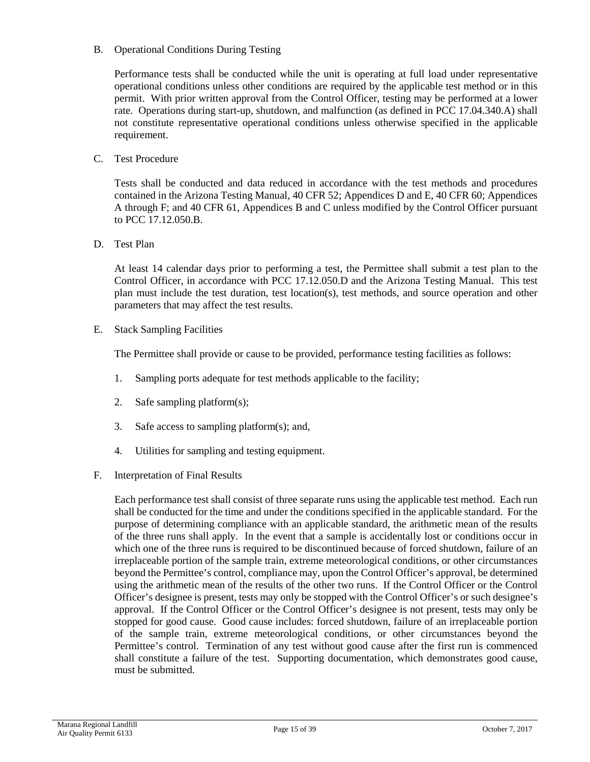B. Operational Conditions During Testing

Performance tests shall be conducted while the unit is operating at full load under representative operational conditions unless other conditions are required by the applicable test method or in this permit. With prior written approval from the Control Officer, testing may be performed at a lower rate. Operations during start-up, shutdown, and malfunction (as defined in PCC 17.04.340.A) shall not constitute representative operational conditions unless otherwise specified in the applicable requirement.

C. Test Procedure

Tests shall be conducted and data reduced in accordance with the test methods and procedures contained in the Arizona Testing Manual, 40 CFR 52; Appendices D and E, 40 CFR 60; Appendices A through F; and 40 CFR 61, Appendices B and C unless modified by the Control Officer pursuant to PCC 17.12.050.B.

D. Test Plan

At least 14 calendar days prior to performing a test, the Permittee shall submit a test plan to the Control Officer, in accordance with PCC 17.12.050.D and the Arizona Testing Manual. This test plan must include the test duration, test location(s), test methods, and source operation and other parameters that may affect the test results.

E. Stack Sampling Facilities

The Permittee shall provide or cause to be provided, performance testing facilities as follows:

- 1. Sampling ports adequate for test methods applicable to the facility;
- 2. Safe sampling platform(s);
- 3. Safe access to sampling platform(s); and,
- 4. Utilities for sampling and testing equipment.
- F. Interpretation of Final Results

Each performance test shall consist of three separate runs using the applicable test method. Each run shall be conducted for the time and under the conditions specified in the applicable standard. For the purpose of determining compliance with an applicable standard, the arithmetic mean of the results of the three runs shall apply. In the event that a sample is accidentally lost or conditions occur in which one of the three runs is required to be discontinued because of forced shutdown, failure of an irreplaceable portion of the sample train, extreme meteorological conditions, or other circumstances beyond the Permittee's control, compliance may, upon the Control Officer's approval, be determined using the arithmetic mean of the results of the other two runs. If the Control Officer or the Control Officer's designee is present, tests may only be stopped with the Control Officer's or such designee's approval. If the Control Officer or the Control Officer's designee is not present, tests may only be stopped for good cause. Good cause includes: forced shutdown, failure of an irreplaceable portion of the sample train, extreme meteorological conditions, or other circumstances beyond the Permittee's control. Termination of any test without good cause after the first run is commenced shall constitute a failure of the test. Supporting documentation, which demonstrates good cause, must be submitted.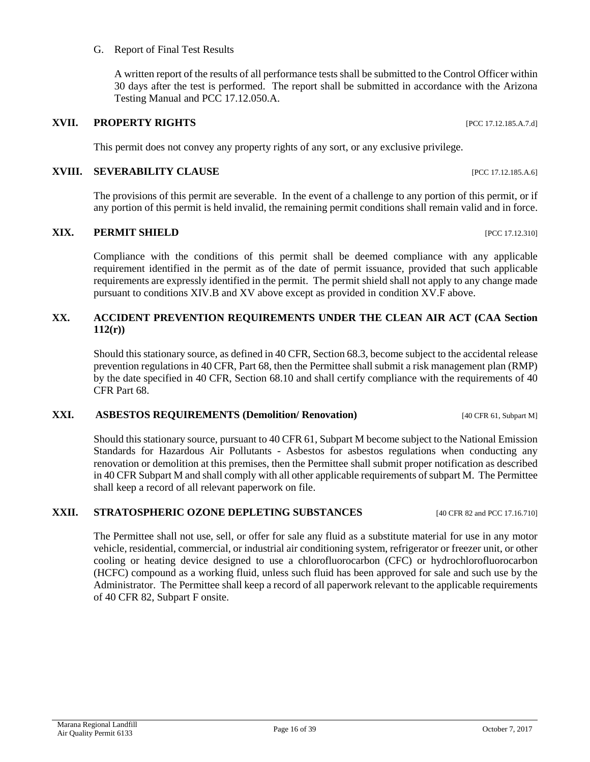### G. Report of Final Test Results

A written report of the results of all performance tests shall be submitted to the Control Officer within 30 days after the test is performed. The report shall be submitted in accordance with the Arizona Testing Manual and PCC 17.12.050.A.

# **XVII. PROPERTY RIGHTS** [PCC 17.12.185.A.7.d]

This permit does not convey any property rights of any sort, or any exclusive privilege.

# **XVIII. SEVERABILITY CLAUSE INCLUSE EXAMPLE 17.12.185.A.6**]

The provisions of this permit are severable. In the event of a challenge to any portion of this permit, or if any portion of this permit is held invalid, the remaining permit conditions shall remain valid and in force.

# **XIX. PERMIT SHIELD [PCC 17.12.310]**

Compliance with the conditions of this permit shall be deemed compliance with any applicable requirement identified in the permit as of the date of permit issuance, provided that such applicable requirements are expressly identified in the permit. The permit shield shall not apply to any change made pursuant to conditions XIV.B and XV above except as provided in condition XV.F above.

# **XX. ACCIDENT PREVENTION REQUIREMENTS UNDER THE CLEAN AIR ACT (CAA Section 112(r))**

Should this stationary source, as defined in 40 CFR, Section 68.3, become subject to the accidental release prevention regulations in 40 CFR, Part 68, then the Permittee shall submit a risk management plan (RMP) by the date specified in 40 CFR, Section 68.10 and shall certify compliance with the requirements of 40 CFR Part 68.

# **XXI. ASBESTOS REQUIREMENTS (Demolition/ Renovation)** [40 CFR 61, Subpart M]

Should this stationary source, pursuant to 40 CFR 61, Subpart M become subject to the National Emission Standards for Hazardous Air Pollutants - Asbestos for asbestos regulations when conducting any renovation or demolition at this premises, then the Permittee shall submit proper notification as described in 40 CFR Subpart M and shall comply with all other applicable requirements of subpart M. The Permittee shall keep a record of all relevant paperwork on file.

# **XXII. STRATOSPHERIC OZONE DEPLETING SUBSTANCES** [40 CFR 82 and PCC 17.16.710]

The Permittee shall not use, sell, or offer for sale any fluid as a substitute material for use in any motor vehicle, residential, commercial, or industrial air conditioning system, refrigerator or freezer unit, or other cooling or heating device designed to use a chlorofluorocarbon (CFC) or hydrochlorofluorocarbon (HCFC) compound as a working fluid, unless such fluid has been approved for sale and such use by the Administrator. The Permittee shall keep a record of all paperwork relevant to the applicable requirements of 40 CFR 82, Subpart F onsite.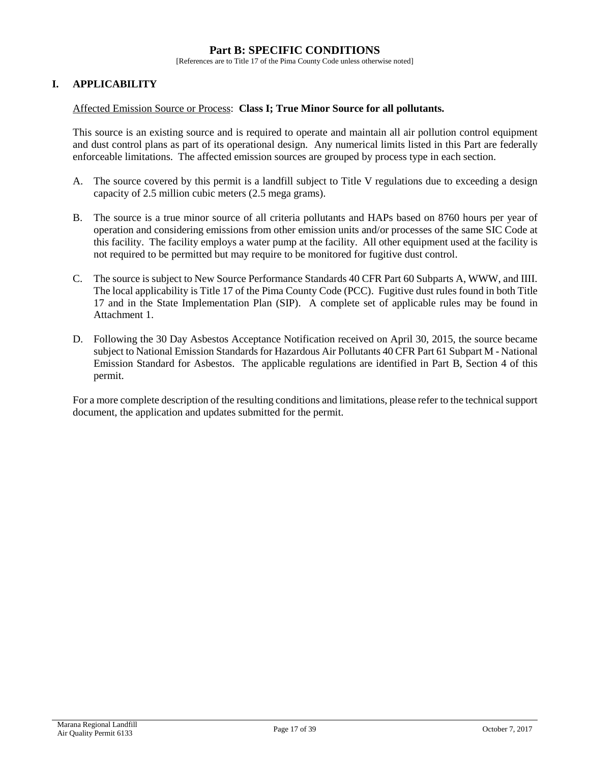#### **Part B: SPECIFIC CONDITIONS**

[References are to Title 17 of the Pima County Code unless otherwise noted]

#### **I. APPLICABILITY**

#### Affected Emission Source or Process: **Class I; True Minor Source for all pollutants.**

This source is an existing source and is required to operate and maintain all air pollution control equipment and dust control plans as part of its operational design. Any numerical limits listed in this Part are federally enforceable limitations. The affected emission sources are grouped by process type in each section.

- A. The source covered by this permit is a landfill subject to Title V regulations due to exceeding a design capacity of 2.5 million cubic meters (2.5 mega grams).
- B. The source is a true minor source of all criteria pollutants and HAPs based on 8760 hours per year of operation and considering emissions from other emission units and/or processes of the same SIC Code at this facility. The facility employs a water pump at the facility. All other equipment used at the facility is not required to be permitted but may require to be monitored for fugitive dust control.
- C. The source is subject to New Source Performance Standards 40 CFR Part 60 Subparts A, WWW, and IIII. The local applicability is Title 17 of the Pima County Code (PCC). Fugitive dust rules found in both Title 17 and in the State Implementation Plan (SIP). A complete set of applicable rules may be found in Attachment 1.
- D. Following the 30 Day Asbestos Acceptance Notification received on April 30, 2015, the source became subject to National Emission Standards for Hazardous Air Pollutants 40 CFR Part 61 Subpart M - National Emission Standard for Asbestos. The applicable regulations are identified in Part B, Section 4 of this permit.

For a more complete description of the resulting conditions and limitations, please refer to the technical support document, the application and updates submitted for the permit.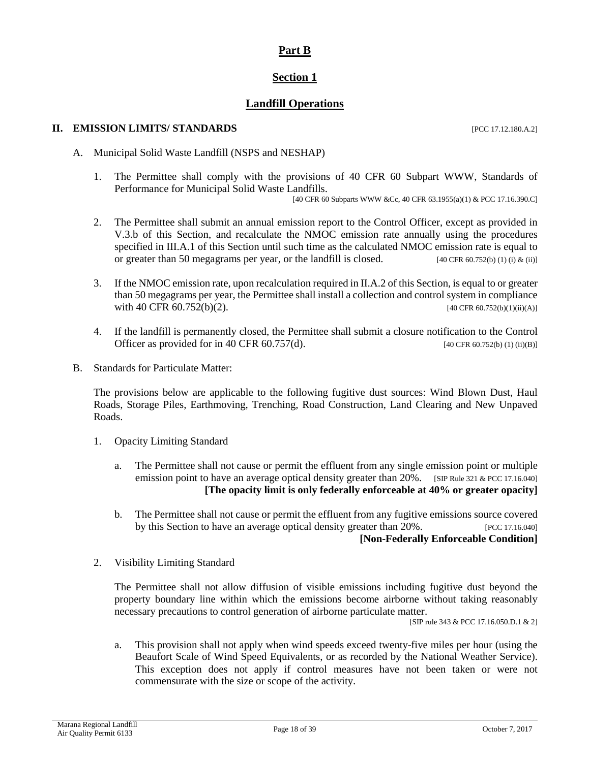# **Part B**

# **Section 1**

# **Landfill Operations**

#### **II. EMISSION LIMITS/ STANDARDS** [PCC 17.12.180.A.2]

A. Municipal Solid Waste Landfill (NSPS and NESHAP)

1. The Permittee shall comply with the provisions of 40 CFR 60 Subpart WWW, Standards of Performance for Municipal Solid Waste Landfills.

[40 CFR 60 Subparts WWW &Cc, 40 CFR 63.1955(a)(1) & PCC 17.16.390.C]

- 2. The Permittee shall submit an annual emission report to the Control Officer, except as provided in V.3.b of this Section, and recalculate the NMOC emission rate annually using the procedures specified in III.A.1 of this Section until such time as the calculated NMOC emission rate is equal to or greater than 50 megagrams per year, or the landfill is closed. [40 CFR 60.752(b) (1) (i) & (ii)]
- 3. If the NMOC emission rate, upon recalculation required in II.A.2 of this Section, is equal to or greater than 50 megagrams per year, the Permittee shall install a collection and control system in compliance with 40 CFR  $60.752(b)(2)$ . [40 CFR 60.752(b)(1)(ii)(A)]
- 4. If the landfill is permanently closed, the Permittee shall submit a closure notification to the Control Officer as provided for in 40 CFR 60.757(d). [40 CFR 60.752(b) (1) (ii)(B)]
- B. Standards for Particulate Matter:

The provisions below are applicable to the following fugitive dust sources: Wind Blown Dust, Haul Roads, Storage Piles, Earthmoving, Trenching, Road Construction, Land Clearing and New Unpaved Roads.

- 1. Opacity Limiting Standard
	- a. The Permittee shall not cause or permit the effluent from any single emission point or multiple emission point to have an average optical density greater than 20%. [SIP Rule 321 & PCC 17.16.040] **[The opacity limit is only federally enforceable at 40% or greater opacity]**
	- b. The Permittee shall not cause or permit the effluent from any fugitive emissions source covered by this Section to have an average optical density greater than 20%. [PCC 17.16.040] **[Non-Federally Enforceable Condition]**
- 2. Visibility Limiting Standard

The Permittee shall not allow diffusion of visible emissions including fugitive dust beyond the property boundary line within which the emissions become airborne without taking reasonably necessary precautions to control generation of airborne particulate matter.

[SIP rule 343 & PCC 17.16.050.D.1 & 2]

a. This provision shall not apply when wind speeds exceed twenty-five miles per hour (using the Beaufort Scale of Wind Speed Equivalents, or as recorded by the National Weather Service). This exception does not apply if control measures have not been taken or were not commensurate with the size or scope of the activity.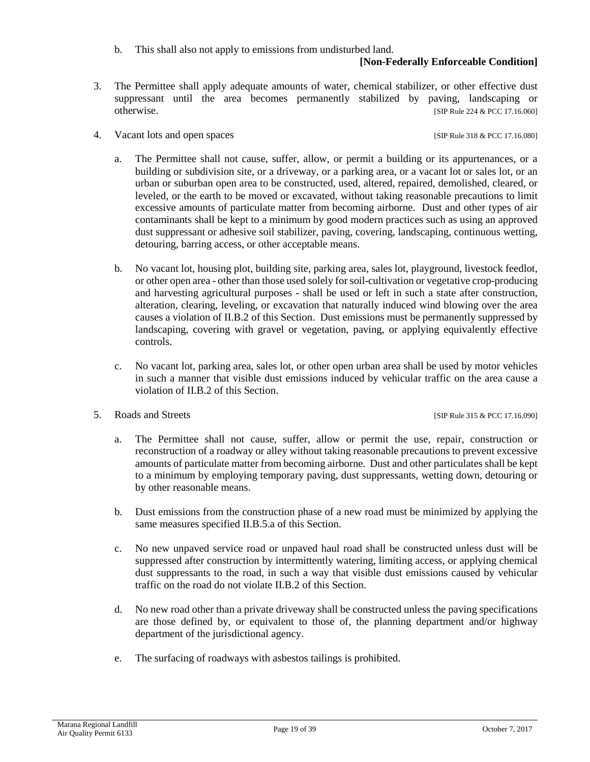b. This shall also not apply to emissions from undisturbed land.

### **[Non-Federally Enforceable Condition]**

- 3. The Permittee shall apply adequate amounts of water, chemical stabilizer, or other effective dust suppressant until the area becomes permanently stabilized by paving, landscaping or otherwise. [SIP Rule 224 & PCC 17.16.060]
- 4. Vacant lots and open spaces [SIP Rule 318 & PCC 17.16.080]

- a. The Permittee shall not cause, suffer, allow, or permit a building or its appurtenances, or a building or subdivision site, or a driveway, or a parking area, or a vacant lot or sales lot, or an urban or suburban open area to be constructed, used, altered, repaired, demolished, cleared, or leveled, or the earth to be moved or excavated, without taking reasonable precautions to limit excessive amounts of particulate matter from becoming airborne. Dust and other types of air contaminants shall be kept to a minimum by good modern practices such as using an approved dust suppressant or adhesive soil stabilizer, paving, covering, landscaping, continuous wetting, detouring, barring access, or other acceptable means.
- b. No vacant lot, housing plot, building site, parking area, sales lot, playground, livestock feedlot, or other open area - other than those used solely for soil-cultivation or vegetative crop-producing and harvesting agricultural purposes - shall be used or left in such a state after construction, alteration, clearing, leveling, or excavation that naturally induced wind blowing over the area causes a violation of II.B.2 of this Section. Dust emissions must be permanently suppressed by landscaping, covering with gravel or vegetation, paving, or applying equivalently effective controls.
- c. No vacant lot, parking area, sales lot, or other open urban area shall be used by motor vehicles in such a manner that visible dust emissions induced by vehicular traffic on the area cause a violation of II.B.2 of this Section.
- 5. Roads and Streets [SIP Rule 315 & PCC 17.16.090]

- a. The Permittee shall not cause, suffer, allow or permit the use, repair, construction or reconstruction of a roadway or alley without taking reasonable precautions to prevent excessive amounts of particulate matter from becoming airborne. Dust and other particulates shall be kept to a minimum by employing temporary paving, dust suppressants, wetting down, detouring or by other reasonable means.
- b. Dust emissions from the construction phase of a new road must be minimized by applying the same measures specified II.B.5.a of this Section.
- c. No new unpaved service road or unpaved haul road shall be constructed unless dust will be suppressed after construction by intermittently watering, limiting access, or applying chemical dust suppressants to the road, in such a way that visible dust emissions caused by vehicular traffic on the road do not violate II.B.2 of this Section.
- d. No new road other than a private driveway shall be constructed unless the paving specifications are those defined by, or equivalent to those of, the planning department and/or highway department of the jurisdictional agency.
- e. The surfacing of roadways with asbestos tailings is prohibited.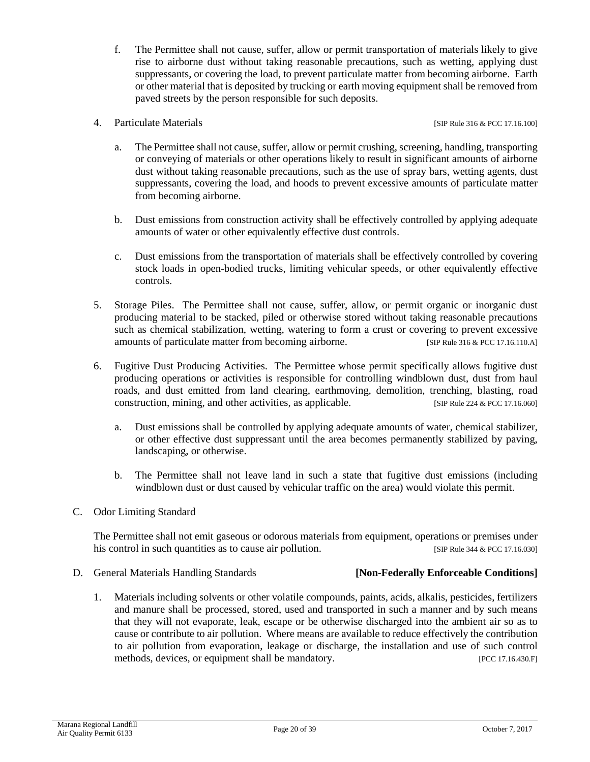- f. The Permittee shall not cause, suffer, allow or permit transportation of materials likely to give rise to airborne dust without taking reasonable precautions, such as wetting, applying dust suppressants, or covering the load, to prevent particulate matter from becoming airborne. Earth or other material that is deposited by trucking or earth moving equipment shall be removed from paved streets by the person responsible for such deposits.
- 4. Particulate Materials **Example 2018** [SIP Rule 316 & PCC 17.16.100]

- a. The Permittee shall not cause, suffer, allow or permit crushing, screening, handling, transporting or conveying of materials or other operations likely to result in significant amounts of airborne dust without taking reasonable precautions, such as the use of spray bars, wetting agents, dust suppressants, covering the load, and hoods to prevent excessive amounts of particulate matter from becoming airborne.
- b. Dust emissions from construction activity shall be effectively controlled by applying adequate amounts of water or other equivalently effective dust controls.
- c. Dust emissions from the transportation of materials shall be effectively controlled by covering stock loads in open-bodied trucks, limiting vehicular speeds, or other equivalently effective controls.
- 5. Storage Piles. The Permittee shall not cause, suffer, allow, or permit organic or inorganic dust producing material to be stacked, piled or otherwise stored without taking reasonable precautions such as chemical stabilization, wetting, watering to form a crust or covering to prevent excessive amounts of particulate matter from becoming airborne. [SIP Rule 316 & PCC 17.16.110.A]
- 6. Fugitive Dust Producing Activities. The Permittee whose permit specifically allows fugitive dust producing operations or activities is responsible for controlling windblown dust, dust from haul roads, and dust emitted from land clearing, earthmoving, demolition, trenching, blasting, road construction, mining, and other activities, as applicable. [SIP Rule 224 & PCC 17.16.060]
	- a. Dust emissions shall be controlled by applying adequate amounts of water, chemical stabilizer, or other effective dust suppressant until the area becomes permanently stabilized by paving, landscaping, or otherwise.
	- b. The Permittee shall not leave land in such a state that fugitive dust emissions (including windblown dust or dust caused by vehicular traffic on the area) would violate this permit.
- C. Odor Limiting Standard

The Permittee shall not emit gaseous or odorous materials from equipment, operations or premises under his control in such quantities as to cause air pollution. [SIP Rule 344 & PCC 17.16.030]

D. General Materials Handling Standards **[Non-Federally Enforceable Conditions]**

1. Materials including solvents or other volatile compounds, paints, acids, alkalis, pesticides, fertilizers and manure shall be processed, stored, used and transported in such a manner and by such means that they will not evaporate, leak, escape or be otherwise discharged into the ambient air so as to cause or contribute to air pollution. Where means are available to reduce effectively the contribution to air pollution from evaporation, leakage or discharge, the installation and use of such control methods, devices, or equipment shall be mandatory. [PCC 17.16.430.F]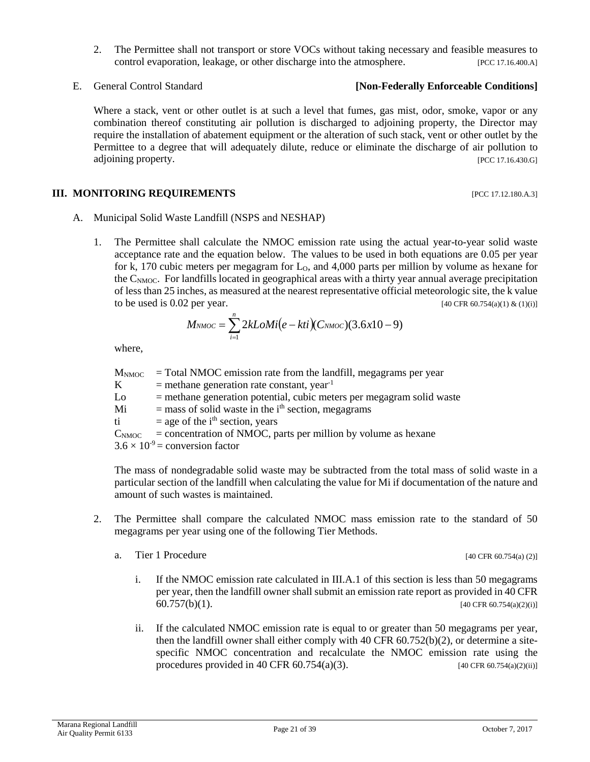#### E. General Control Standard **[Non-Federally Enforceable Conditions]**

Where a stack, vent or other outlet is at such a level that fumes, gas mist, odor, smoke, vapor or any combination thereof constituting air pollution is discharged to adjoining property, the Director may require the installation of abatement equipment or the alteration of such stack, vent or other outlet by the Permittee to a degree that will adequately dilute, reduce or eliminate the discharge of air pollution to adjoining property. [PCC 17.16.430.G]

#### **III. MONITORING REQUIREMENTS** [PCC 17.12.180.A.3]

- A. Municipal Solid Waste Landfill (NSPS and NESHAP)
	- 1. The Permittee shall calculate the NMOC emission rate using the actual year-to-year solid waste acceptance rate and the equation below. The values to be used in both equations are 0.05 per year for k, 170 cubic meters per megagram for  $L_0$ , and 4,000 parts per million by volume as hexane for the C<sub>NMOC</sub>. For landfills located in geographical areas with a thirty year annual average precipitation of less than 25 inches, as measured at the nearest representative official meteorologic site, the k value to be used is 0.02 per year. [40 CFR 60.754(a)(1) & (1)(i)]

$$
M_{NMOC} = \sum_{i=1}^{n} 2kLoMi(e-kti)(C_{NMOC})(3.6x10-9)
$$

where,

 $M_{\text{NMOC}}$  = Total NMOC emission rate from the landfill, megagrams per year  $K$  = methane generation rate constant, year<sup>-1</sup>  $Lo$  = methane generation potential, cubic meters per megagram solid waste  $Mi$  = mass of solid waste in the i<sup>th</sup> section, megagrams ti  $=$  age of the i<sup>th</sup> section, years  $C_{\text{NMOC}}$  = concentration of NMOC, parts per million by volume as hexane  $3.6 \times 10^{-9}$  = conversion factor

The mass of nondegradable solid waste may be subtracted from the total mass of solid waste in a particular section of the landfill when calculating the value for Mi if documentation of the nature and amount of such wastes is maintained.

- 2. The Permittee shall compare the calculated NMOC mass emission rate to the standard of 50 megagrams per year using one of the following Tier Methods.
	- a. Tier 1 Procedure  $[40 \text{ CFR } 60.754(a) (2)]$ 
		- i. If the NMOC emission rate calculated in III.A.1 of this section is less than 50 megagrams per year, then the landfill owner shall submit an emission rate report as provided in 40 CFR
			- 60.757(b)(1). [40 CFR 60.754(a)(2)(i)]
		- ii. If the calculated NMOC emission rate is equal to or greater than 50 megagrams per year, then the landfill owner shall either comply with 40 CFR 60.752(b)(2), or determine a sitespecific NMOC concentration and recalculate the NMOC emission rate using the procedures provided in 40 CFR  $60.754(a)(3)$ . [40 CFR  $60.754(a)(2)(ii)$ ]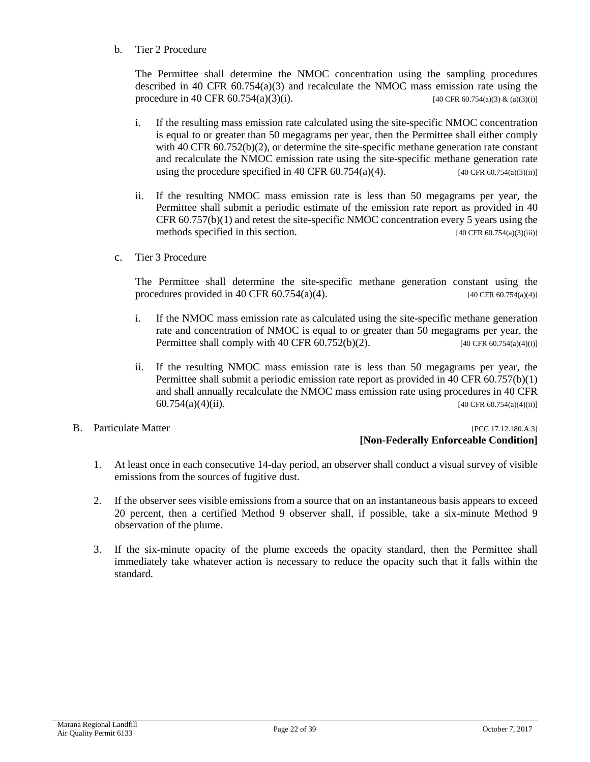b. Tier 2 Procedure

The Permittee shall determine the NMOC concentration using the sampling procedures described in 40 CFR  $60.754(a)(3)$  and recalculate the NMOC mass emission rate using the procedure in 40 CFR  $60.754(a)(3)(i)$ . [40 CFR  $60.754(a)(3)$  & (a)(3)(i)]

- i. If the resulting mass emission rate calculated using the site-specific NMOC concentration is equal to or greater than 50 megagrams per year, then the Permittee shall either comply with 40 CFR  $60.752(b)(2)$ , or determine the site-specific methane generation rate constant and recalculate the NMOC emission rate using the site-specific methane generation rate using the procedure specified in 40 CFR  $60.754(a)(4)$ . [40 CFR  $60.754(a)(3)(ii)$ ]
- ii. If the resulting NMOC mass emission rate is less than 50 megagrams per year, the Permittee shall submit a periodic estimate of the emission rate report as provided in 40 CFR 60.757(b)(1) and retest the site-specific NMOC concentration every 5 years using the methods specified in this section. [40 CFR 60.754(a)(3)(iii)]
- c. Tier 3 Procedure

The Permittee shall determine the site-specific methane generation constant using the procedures provided in 40 CFR 60.754(a)(4). [40 CFR 60.754(a)(4)]

- i. If the NMOC mass emission rate as calculated using the site-specific methane generation rate and concentration of NMOC is equal to or greater than 50 megagrams per year, the Permittee shall comply with 40 CFR  $60.752(b)(2)$ . [40 CFR  $60.754(a)(4)(i)$ ]
- ii. If the resulting NMOC mass emission rate is less than 50 megagrams per year, the Permittee shall submit a periodic emission rate report as provided in 40 CFR 60.757(b)(1) and shall annually recalculate the NMOC mass emission rate using procedures in 40 CFR 60.754(a)(4)(ii). [40 CFR 60.754(a)(4)(ii)]
- 

B. Particulate Matter [PCC 17.12.180.A.3] **[Non-Federally Enforceable Condition]**

- 1. At least once in each consecutive 14-day period, an observer shall conduct a visual survey of visible emissions from the sources of fugitive dust.
- 2. If the observer sees visible emissions from a source that on an instantaneous basis appears to exceed 20 percent, then a certified Method 9 observer shall, if possible, take a six-minute Method 9 observation of the plume.
- 3. If the six-minute opacity of the plume exceeds the opacity standard, then the Permittee shall immediately take whatever action is necessary to reduce the opacity such that it falls within the standard.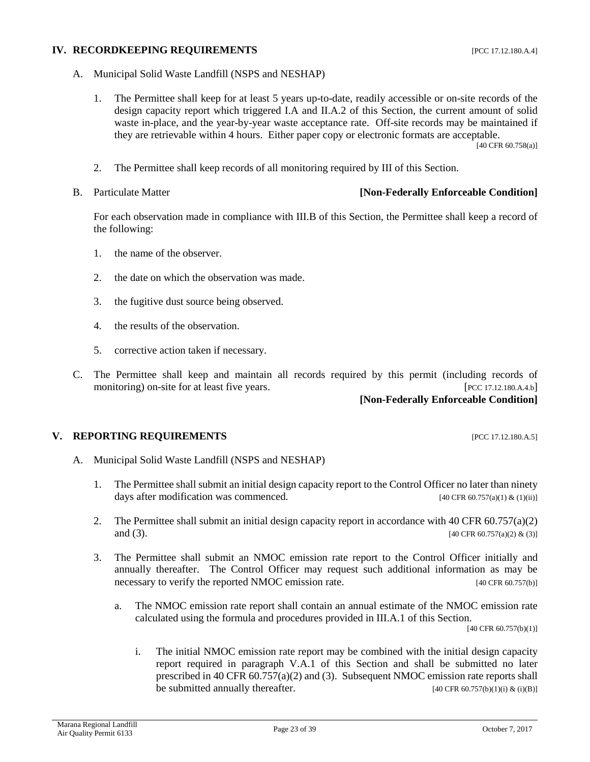#### **IV. RECORDKEEPING REQUIREMENTS** [PCC 17.12.180.A.4]

- A. Municipal Solid Waste Landfill (NSPS and NESHAP)
	- 1. The Permittee shall keep for at least 5 years up-to-date, readily accessible or on-site records of the design capacity report which triggered I.A and II.A.2 of this Section, the current amount of solid waste in-place, and the year-by-year waste acceptance rate. Off-site records may be maintained if they are retrievable within 4 hours. Either paper copy or electronic formats are acceptable.

[40 CFR 60.758(a)]

- 2. The Permittee shall keep records of all monitoring required by III of this Section.
- 

#### B. Particulate Matter **[Non-Federally Enforceable Condition]**

For each observation made in compliance with III.B of this Section, the Permittee shall keep a record of the following:

- 1. the name of the observer.
- 2. the date on which the observation was made.
- 3. the fugitive dust source being observed.
- 4. the results of the observation.
- 5. corrective action taken if necessary.
- C. The Permittee shall keep and maintain all records required by this permit (including records of monitoring) on-site for at least five years. [PCC 17.12.180.A.4.b]

# **[Non-Federally Enforceable Condition]**

#### **V. REPORTING REQUIREMENTS INCLUSION CONTRACT PEC 17.12.180.A.5]**

- A. Municipal Solid Waste Landfill (NSPS and NESHAP)
	- 1. The Permittee shall submit an initial design capacity report to the Control Officer no later than ninety days after modification was commenced. [40 CFR 60.757(a)(1) & (1)(ii)]
	- 2. The Permittee shall submit an initial design capacity report in accordance with 40 CFR 60.757(a)(2) and (3). [40 CFR 60.757(a)(2) & (3)]
	- 3. The Permittee shall submit an NMOC emission rate report to the Control Officer initially and annually thereafter. The Control Officer may request such additional information as may be necessary to verify the reported NMOC emission rate. [40 CFR 60.757(b)]
		- a. The NMOC emission rate report shall contain an annual estimate of the NMOC emission rate calculated using the formula and procedures provided in III.A.1 of this Section.

[40 CFR 60.757(b)(1)]

i. The initial NMOC emission rate report may be combined with the initial design capacity report required in paragraph V.A.1 of this Section and shall be submitted no later prescribed in 40 CFR 60.757(a)(2) and (3). Subsequent NMOC emission rate reports shall be submitted annually thereafter.  $[40 \text{ CFR } 60.757(b)(1)(i) \& (i)(B)]$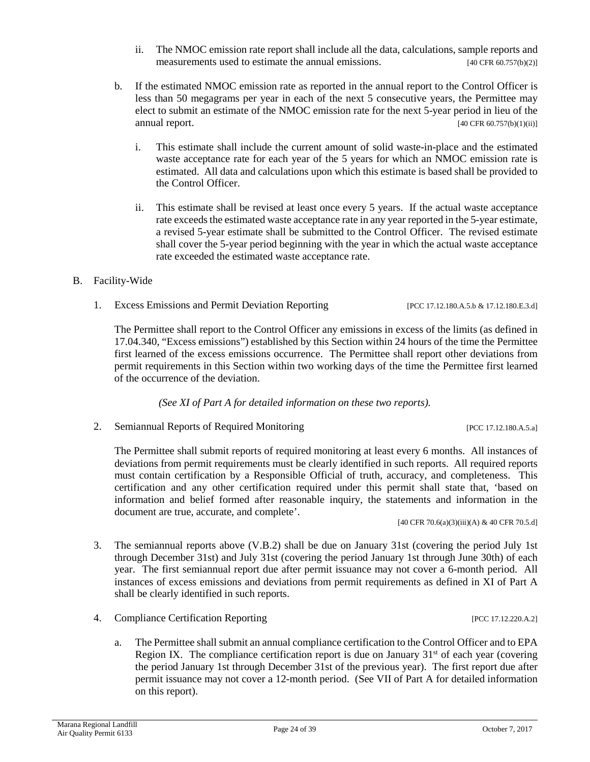- ii. The NMOC emission rate report shall include all the data, calculations, sample reports and measurements used to estimate the annual emissions. [40 CFR 60.757(b)(2)]
- b. If the estimated NMOC emission rate as reported in the annual report to the Control Officer is less than 50 megagrams per year in each of the next 5 consecutive years, the Permittee may elect to submit an estimate of the NMOC emission rate for the next 5-year period in lieu of the  $[40 \text{ CFR } 60.757(b)(1)(ii)]$ 
	- i. This estimate shall include the current amount of solid waste-in-place and the estimated waste acceptance rate for each year of the 5 years for which an NMOC emission rate is estimated. All data and calculations upon which this estimate is based shall be provided to the Control Officer.
	- ii. This estimate shall be revised at least once every 5 years. If the actual waste acceptance rate exceeds the estimated waste acceptance rate in any year reported in the 5-year estimate, a revised 5-year estimate shall be submitted to the Control Officer. The revised estimate shall cover the 5-year period beginning with the year in which the actual waste acceptance rate exceeded the estimated waste acceptance rate.

#### B. Facility-Wide

1. Excess Emissions and Permit Deviation Reporting [PCC 17.12.180.A.5.b & 17.12.180.E.3.d]

The Permittee shall report to the Control Officer any emissions in excess of the limits (as defined in 17.04.340, "Excess emissions") established by this Section within 24 hours of the time the Permittee first learned of the excess emissions occurrence. The Permittee shall report other deviations from permit requirements in this Section within two working days of the time the Permittee first learned of the occurrence of the deviation.

*(See XI of Part A for detailed information on these two reports).*

2. Semiannual Reports of Required Monitoring [PCC 17.12.180.A.5.a]

The Permittee shall submit reports of required monitoring at least every 6 months. All instances of deviations from permit requirements must be clearly identified in such reports. All required reports must contain certification by a Responsible Official of truth, accuracy, and completeness. This certification and any other certification required under this permit shall state that, 'based on information and belief formed after reasonable inquiry, the statements and information in the document are true, accurate, and complete'.

[40 CFR 70.6(a)(3)(iii)(A) & 40 CFR 70.5.d]

- 3. The semiannual reports above (V.B.2) shall be due on January 31st (covering the period July 1st through December 31st) and July 31st (covering the period January 1st through June 30th) of each year. The first semiannual report due after permit issuance may not cover a 6-month period. All instances of excess emissions and deviations from permit requirements as defined in XI of Part A shall be clearly identified in such reports.
- 4. Compliance Certification Reporting [PCC 17.12.220.A.2]
	- a. The Permittee shall submit an annual compliance certification to the Control Officer and to EPA Region IX. The compliance certification report is due on January  $31<sup>st</sup>$  of each year (covering the period January 1st through December 31st of the previous year). The first report due after permit issuance may not cover a 12-month period. (See VII of Part A for detailed information on this report).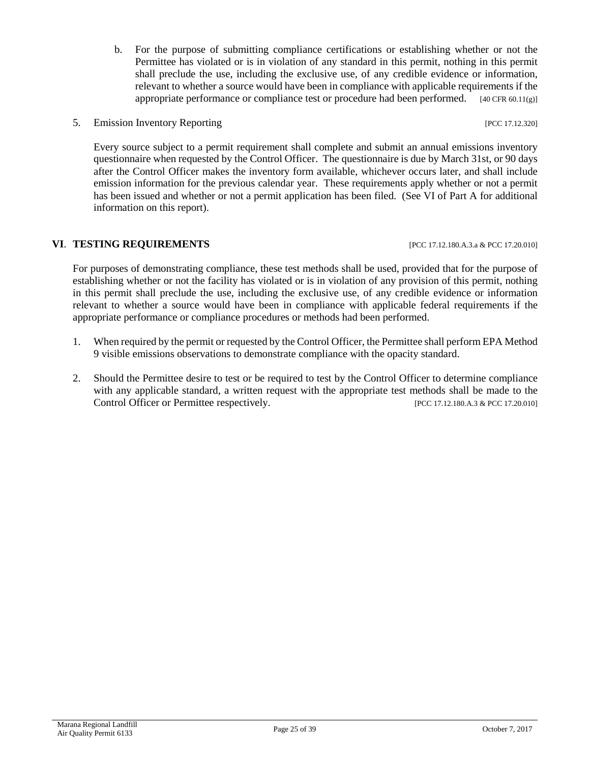- b. For the purpose of submitting compliance certifications or establishing whether or not the Permittee has violated or is in violation of any standard in this permit, nothing in this permit shall preclude the use, including the exclusive use, of any credible evidence or information, relevant to whether a source would have been in compliance with applicable requirements if the appropriate performance or compliance test or procedure had been performed.  $[40 \text{ CFR } 60.11 \text{(g)}]$
- 5. Emission Inventory Reporting **Exercise 2.12.320** [PCC 17.12.320]

Every source subject to a permit requirement shall complete and submit an annual emissions inventory questionnaire when requested by the Control Officer. The questionnaire is due by March 31st, or 90 days after the Control Officer makes the inventory form available, whichever occurs later, and shall include emission information for the previous calendar year. These requirements apply whether or not a permit has been issued and whether or not a permit application has been filed. (See VI of Part A for additional information on this report).

#### **VI. TESTING REQUIREMENTS [PCC 17.12.180.A.3.a & PCC 17.20.010]**

For purposes of demonstrating compliance, these test methods shall be used, provided that for the purpose of establishing whether or not the facility has violated or is in violation of any provision of this permit, nothing in this permit shall preclude the use, including the exclusive use, of any credible evidence or information relevant to whether a source would have been in compliance with applicable federal requirements if the

1. When required by the permit or requested by the Control Officer, the Permittee shall perform EPA Method 9 visible emissions observations to demonstrate compliance with the opacity standard.

appropriate performance or compliance procedures or methods had been performed.

2. Should the Permittee desire to test or be required to test by the Control Officer to determine compliance with any applicable standard, a written request with the appropriate test methods shall be made to the Control Officer or Permittee respectively. [PCC 17.12.180.A.3 & PCC 17.20.010]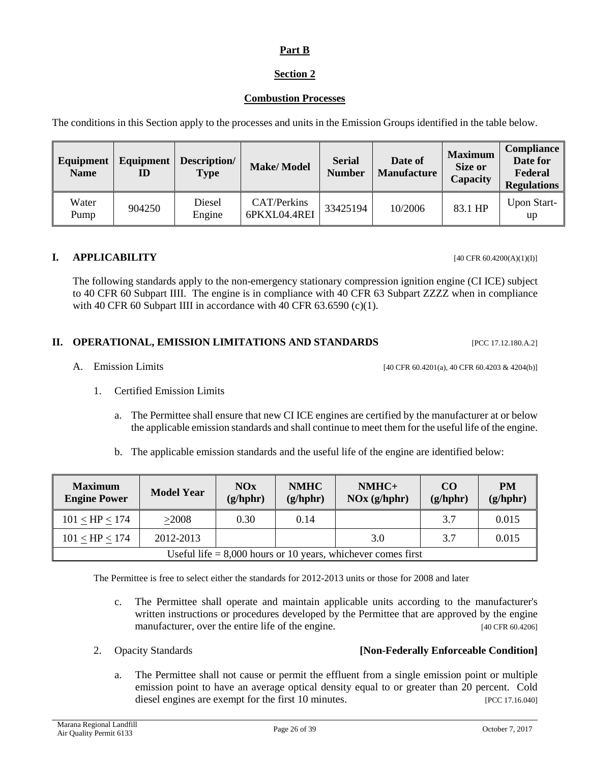#### **Part B**

# **Section 2**

#### **Combustion Processes**

The conditions in this Section apply to the processes and units in the Emission Groups identified in the table below.

| Equipment<br><b>Name</b> | Equipment<br>ID | Description/<br><b>Type</b> | <b>Make/Model</b>           | <b>Serial</b><br><b>Number</b> | Date of<br><b>Manufacture</b> | <b>Maximum</b><br><b>Size or</b><br><b>Capacity</b> | <b>Compliance</b><br>Date for<br>Federal<br><b>Regulations</b> |
|--------------------------|-----------------|-----------------------------|-----------------------------|--------------------------------|-------------------------------|-----------------------------------------------------|----------------------------------------------------------------|
| Water<br>Pump            | 904250          | Diesel<br>Engine            | CAT/Perkins<br>6PKXL04.4REI | 33425194                       | 10/2006                       | 83.1 HP                                             | <b>Upon Start-</b><br>up                                       |

#### **I. APPLICABILITY** [40 CFR 60.4200(A)(1)(I)]

The following standards apply to the non-emergency stationary compression ignition engine (CI ICE) subject to 40 CFR 60 Subpart IIII. The engine is in compliance with 40 CFR 63 Subpart ZZZZ when in compliance with 40 CFR 60 Subpart IIII in accordance with 40 CFR 63.6590 (c)(1).

#### **II. OPERATIONAL, EMISSION LIMITATIONS AND STANDARDS** [PCC 17.12.180.A.2]

- A. Emission Limits [40 CFR 60.4201(a), 40 CFR 60.4203 & 4204(b)]
	- 1. Certified Emission Limits
		- a. The Permittee shall ensure that new CI ICE engines are certified by the manufacturer at or below the applicable emission standards and shall continue to meet them for the useful life of the engine.
		- b. The applicable emission standards and the useful life of the engine are identified below:

| <b>Maximum</b><br><b>Engine Power</b>                          | <b>Model Year</b> | NOx<br>(g/hphr) | <b>NMHC</b><br>(g/hphr) | NMHC+<br>$\overline{\text{NOx}(\text{g/hphr})}$ | CO <sub>0</sub><br>(g/hphr) | PM<br>(g/hphr) |  |
|----------------------------------------------------------------|-------------------|-----------------|-------------------------|-------------------------------------------------|-----------------------------|----------------|--|
| $101 <$ HP $< 174$                                             | >2008             | 0.30            | 0.14                    |                                                 | 3.7                         | 0.015          |  |
| $101 <$ HP $< 174$                                             | 2012-2013         |                 |                         | 3.0                                             | 3.7                         | 0.015          |  |
| Useful life $= 8,000$ hours or 10 years, whichever comes first |                   |                 |                         |                                                 |                             |                |  |

The Permittee is free to select either the standards for 2012-2013 units or those for 2008 and later

- c. The Permittee shall operate and maintain applicable units according to the manufacturer's written instructions or procedures developed by the Permittee that are approved by the engine manufacturer, over the entire life of the engine. [40 CFR 60.4206]
- 

# 2. Opacity Standards **[Non-Federally Enforceable Condition]**

a. The Permittee shall not cause or permit the effluent from a single emission point or multiple emission point to have an average optical density equal to or greater than 20 percent. Cold diesel engines are exempt for the first 10 minutes. [PCC 17.16.040]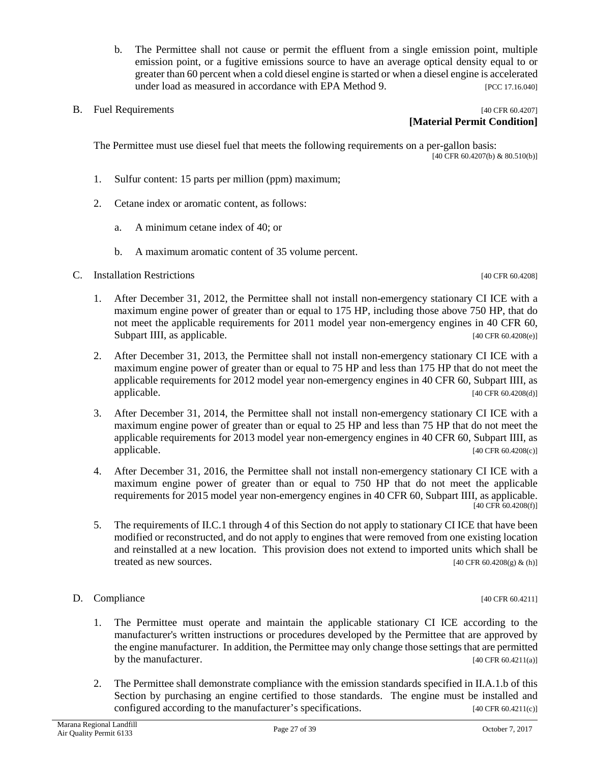- b. The Permittee shall not cause or permit the effluent from a single emission point, multiple emission point, or a fugitive emissions source to have an average optical density equal to or greater than 60 percent when a cold diesel engine is started or when a diesel engine is accelerated under load as measured in accordance with EPA Method 9. [PCC 17.16.040]
- 

#### B. Fuel Requirements [40 CFR 60.4207] **[Material Permit Condition]**

The Permittee must use diesel fuel that meets the following requirements on a per-gallon basis: [40 CFR 60.4207(b) & 80.510(b)]

- 1. Sulfur content: 15 parts per million (ppm) maximum;
- 2. Cetane index or aromatic content, as follows:
	- a. A minimum cetane index of 40; or
	- b. A maximum aromatic content of 35 volume percent.
- C. Installation Restrictions [40 CFR 60.4208]

- 1. After December 31, 2012, the Permittee shall not install non-emergency stationary CI ICE with a maximum engine power of greater than or equal to 175 HP, including those above 750 HP, that do not meet the applicable requirements for 2011 model year non-emergency engines in 40 CFR 60, Subpart IIII, as applicable. [40 CFR 60.4208(e)]
- 2. After December 31, 2013, the Permittee shall not install non-emergency stationary CI ICE with a maximum engine power of greater than or equal to 75 HP and less than 175 HP that do not meet the applicable requirements for 2012 model year non-emergency engines in 40 CFR 60, Subpart IIII, as  $applied$ explicable. [40 CFR 60.4208(d)]
- 3. After December 31, 2014, the Permittee shall not install non-emergency stationary CI ICE with a maximum engine power of greater than or equal to 25 HP and less than 75 HP that do not meet the applicable requirements for 2013 model year non-emergency engines in 40 CFR 60, Subpart IIII, as applicable. [40 CFR 60.4208(c)]
- 4. After December 31, 2016, the Permittee shall not install non-emergency stationary CI ICE with a maximum engine power of greater than or equal to 750 HP that do not meet the applicable requirements for 2015 model year non-emergency engines in 40 CFR 60, Subpart IIII, as applicable.  $[40 \text{ CFR } 60.4208(f)]$
- 5. The requirements of II.C.1 through 4 of this Section do not apply to stationary CI ICE that have been modified or reconstructed, and do not apply to engines that were removed from one existing location and reinstalled at a new location. This provision does not extend to imported units which shall be treated as new sources.  $[40 \text{ CFR } 60.4208(g) \& (h)]$

#### D. Compliance [40 CFR 60.4211]

- 1. The Permittee must operate and maintain the applicable stationary CI ICE according to the manufacturer's written instructions or procedures developed by the Permittee that are approved by the engine manufacturer. In addition, the Permittee may only change those settings that are permitted by the manufacturer. [40 CFR 60.4211(a)]
- 2. The Permittee shall demonstrate compliance with the emission standards specified in II.A.1.b of this Section by purchasing an engine certified to those standards. The engine must be installed and configured according to the manufacturer's specifications.  $[40 \text{ CFR } 60.4211(c)]$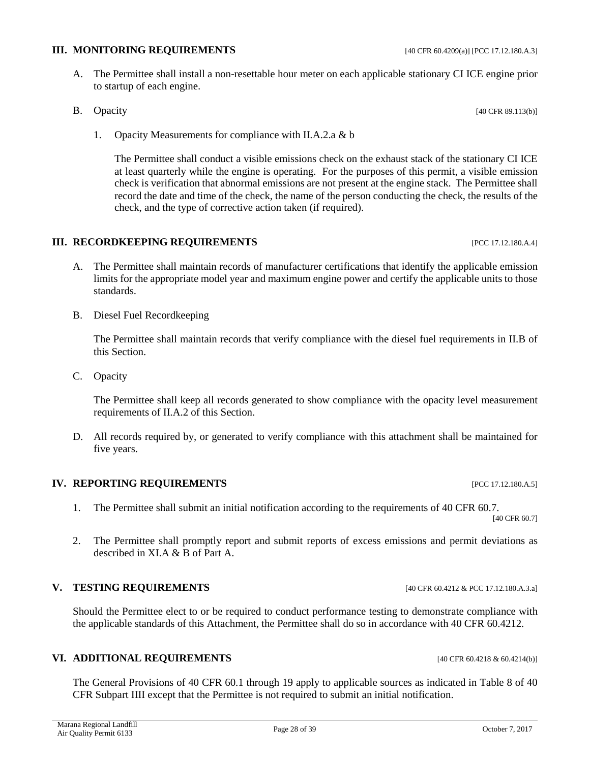# **III. MONITORING REQUIREMENTS** [40 CFR 60.4209(a)] [PCC 17.12.180.A.3]

A. The Permittee shall install a non-resettable hour meter on each applicable stationary CI ICE engine prior to startup of each engine.

B. Opacity [40 CFR 89.113(b)]

1. Opacity Measurements for compliance with II.A.2.a & b

The Permittee shall conduct a visible emissions check on the exhaust stack of the stationary CI ICE at least quarterly while the engine is operating. For the purposes of this permit, a visible emission check is verification that abnormal emissions are not present at the engine stack. The Permittee shall record the date and time of the check, the name of the person conducting the check, the results of the check, and the type of corrective action taken (if required).

#### **III. RECORDKEEPING REQUIREMENTS** [PCC 17.12.180.A.4]

- A. The Permittee shall maintain records of manufacturer certifications that identify the applicable emission limits for the appropriate model year and maximum engine power and certify the applicable units to those standards.
- B. Diesel Fuel Recordkeeping

The Permittee shall maintain records that verify compliance with the diesel fuel requirements in II.B of this Section.

C. Opacity

The Permittee shall keep all records generated to show compliance with the opacity level measurement requirements of II.A.2 of this Section.

D. All records required by, or generated to verify compliance with this attachment shall be maintained for five years.

#### **IV. REPORTING REQUIREMENTS INCLUSION CONTRACT PEC 17.12.180.A.5]**

- 1. The Permittee shall submit an initial notification according to the requirements of 40 CFR 60.7. [40 CFR 60.7]
- 2. The Permittee shall promptly report and submit reports of excess emissions and permit deviations as described in XI.A & B of Part A.

#### **V. TESTING REQUIREMENTS** [40 CFR 60.4212 & PCC 17.12.180.A.3.a]

Should the Permittee elect to or be required to conduct performance testing to demonstrate compliance with the applicable standards of this Attachment, the Permittee shall do so in accordance with 40 CFR 60.4212.

#### **VI. ADDITIONAL REQUIREMENTS** [40 CFR 60.4218 & 60.4214(b)]

The General Provisions of 40 CFR 60.1 through 19 apply to applicable sources as indicated in Table 8 of 40 CFR Subpart IIII except that the Permittee is not required to submit an initial notification.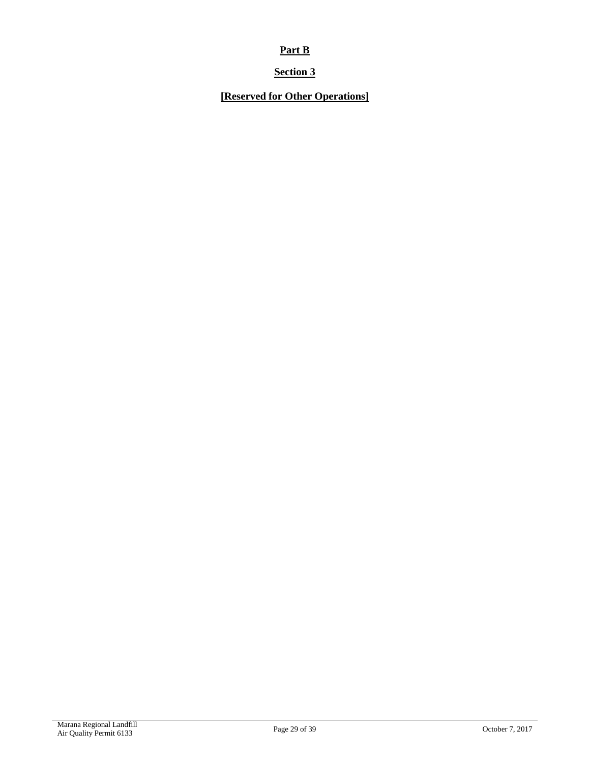# **Part B**

# **Section 3**

# **[Reserved for Other Operations]**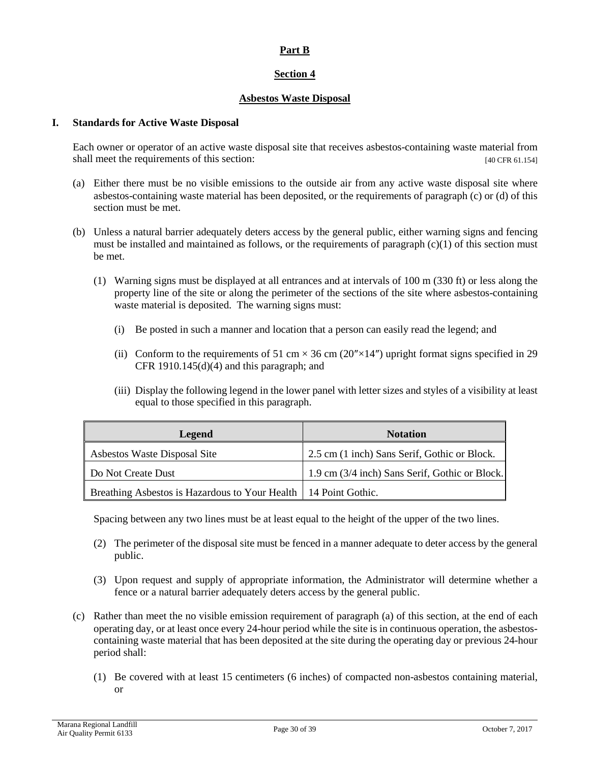#### **Part B**

#### **Section 4**

#### **Asbestos Waste Disposal**

#### **I. Standards for Active Waste Disposal**

Each owner or operator of an active waste disposal site that receives asbestos-containing waste material from shall meet the requirements of this section: [40 CFR 61.154]

- (a) Either there must be no visible emissions to the outside air from any active waste disposal site where asbestos-containing waste material has been deposited, or the requirements of paragraph (c) or (d) of this section must be met.
- (b) Unless a natural barrier adequately deters access by the general public, either warning signs and fencing must be installed and maintained as follows, or the requirements of paragraph  $(c)(1)$  of this section must be met.
	- (1) Warning signs must be displayed at all entrances and at intervals of 100 m (330 ft) or less along the property line of the site or along the perimeter of the sections of the site where asbestos-containing waste material is deposited. The warning signs must:
		- (i) Be posted in such a manner and location that a person can easily read the legend; and
		- (ii) Conform to the requirements of 51 cm  $\times$  36 cm (20" $\times$ 14") upright format signs specified in 29 CFR 1910.145 $(d)(4)$  and this paragraph; and
		- (iii) Display the following legend in the lower panel with letter sizes and styles of a visibility at least equal to those specified in this paragraph.

| Legend                                                            | <b>Notation</b>                                |
|-------------------------------------------------------------------|------------------------------------------------|
| Asbestos Waste Disposal Site                                      | 2.5 cm (1 inch) Sans Serif, Gothic or Block.   |
| Do Not Create Dust                                                | 1.9 cm (3/4 inch) Sans Serif, Gothic or Block. |
| Breathing Asbestos is Hazardous to Your Health   14 Point Gothic. |                                                |

Spacing between any two lines must be at least equal to the height of the upper of the two lines.

- (2) The perimeter of the disposal site must be fenced in a manner adequate to deter access by the general public.
- (3) Upon request and supply of appropriate information, the Administrator will determine whether a fence or a natural barrier adequately deters access by the general public.
- (c) Rather than meet the no visible emission requirement of paragraph (a) of this section, at the end of each operating day, or at least once every 24-hour period while the site is in continuous operation, the asbestoscontaining waste material that has been deposited at the site during the operating day or previous 24-hour period shall:
	- (1) Be covered with at least 15 centimeters (6 inches) of compacted non-asbestos containing material, or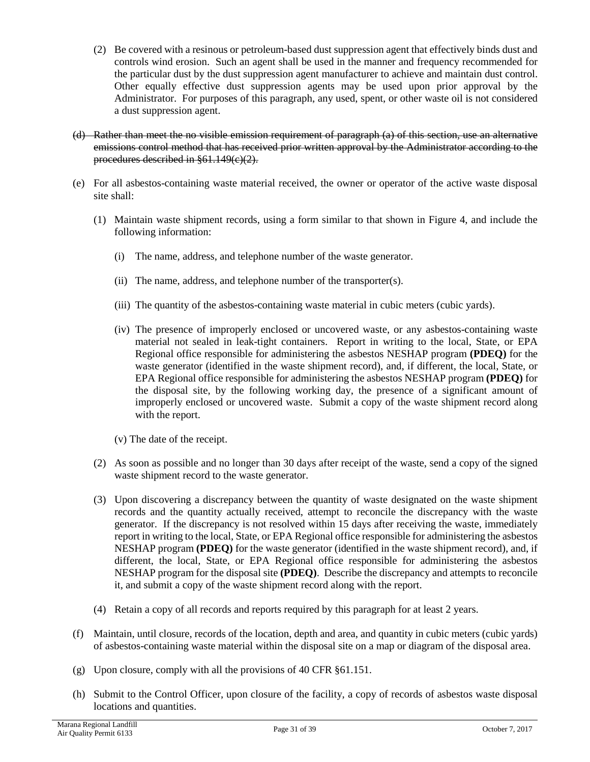- (2) Be covered with a resinous or petroleum-based dust suppression agent that effectively binds dust and controls wind erosion. Such an agent shall be used in the manner and frequency recommended for the particular dust by the dust suppression agent manufacturer to achieve and maintain dust control. Other equally effective dust suppression agents may be used upon prior approval by the Administrator. For purposes of this paragraph, any used, spent, or other waste oil is not considered a dust suppression agent.
- (d) Rather than meet the no visible emission requirement of paragraph (a) of this section, use an alternative emissions control method that has received prior written approval by the Administrator according to the procedures described in §61.149(e)(2).
- (e) For all asbestos-containing waste material received, the owner or operator of the active waste disposal site shall:
	- (1) Maintain waste shipment records, using a form similar to that shown in Figure 4, and include the following information:
		- (i) The name, address, and telephone number of the waste generator.
		- (ii) The name, address, and telephone number of the transporter(s).
		- (iii) The quantity of the asbestos-containing waste material in cubic meters (cubic yards).
		- (iv) The presence of improperly enclosed or uncovered waste, or any asbestos-containing waste material not sealed in leak-tight containers. Report in writing to the local, State, or EPA Regional office responsible for administering the asbestos NESHAP program **(PDEQ)** for the waste generator (identified in the waste shipment record), and, if different, the local, State, or EPA Regional office responsible for administering the asbestos NESHAP program **(PDEQ)** for the disposal site, by the following working day, the presence of a significant amount of improperly enclosed or uncovered waste. Submit a copy of the waste shipment record along with the report.
		- (v) The date of the receipt.
	- (2) As soon as possible and no longer than 30 days after receipt of the waste, send a copy of the signed waste shipment record to the waste generator.
	- (3) Upon discovering a discrepancy between the quantity of waste designated on the waste shipment records and the quantity actually received, attempt to reconcile the discrepancy with the waste generator. If the discrepancy is not resolved within 15 days after receiving the waste, immediately report in writing to the local, State, or EPA Regional office responsible for administering the asbestos NESHAP program **(PDEQ)** for the waste generator (identified in the waste shipment record), and, if different, the local, State, or EPA Regional office responsible for administering the asbestos NESHAP program for the disposal site **(PDEQ)**. Describe the discrepancy and attempts to reconcile it, and submit a copy of the waste shipment record along with the report.
	- (4) Retain a copy of all records and reports required by this paragraph for at least 2 years.
- (f) Maintain, until closure, records of the location, depth and area, and quantity in cubic meters (cubic yards) of asbestos-containing waste material within the disposal site on a map or diagram of the disposal area.
- (g) Upon closure, comply with all the provisions of 40 CFR §61.151.
- (h) Submit to the Control Officer, upon closure of the facility, a copy of records of asbestos waste disposal locations and quantities.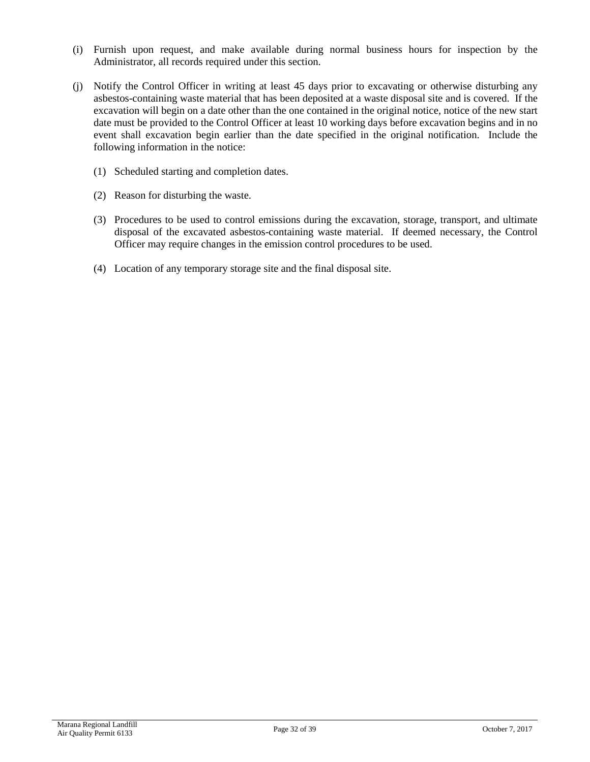- (i) Furnish upon request, and make available during normal business hours for inspection by the Administrator, all records required under this section.
- (j) Notify the Control Officer in writing at least 45 days prior to excavating or otherwise disturbing any asbestos-containing waste material that has been deposited at a waste disposal site and is covered. If the excavation will begin on a date other than the one contained in the original notice, notice of the new start date must be provided to the Control Officer at least 10 working days before excavation begins and in no event shall excavation begin earlier than the date specified in the original notification. Include the following information in the notice:
	- (1) Scheduled starting and completion dates.
	- (2) Reason for disturbing the waste.
	- (3) Procedures to be used to control emissions during the excavation, storage, transport, and ultimate disposal of the excavated asbestos-containing waste material. If deemed necessary, the Control Officer may require changes in the emission control procedures to be used.
	- (4) Location of any temporary storage site and the final disposal site.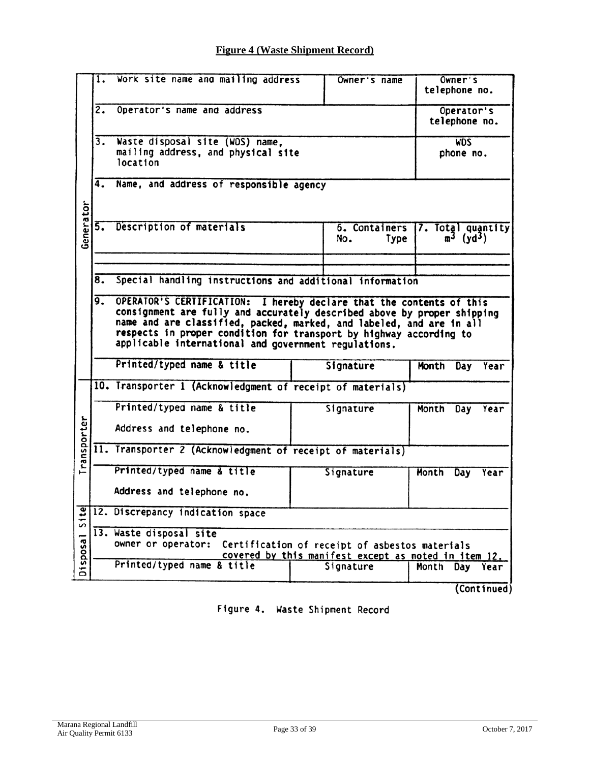# **Figure 4 (Waste Shipment Record)**

|             | 1.              | Work site name and mailing address                                                                                                                                                                                                                                                                                                                    | Owner's name                 | Owner's<br>telephone no.                                          |              |     |             |  |  |
|-------------|-----------------|-------------------------------------------------------------------------------------------------------------------------------------------------------------------------------------------------------------------------------------------------------------------------------------------------------------------------------------------------------|------------------------------|-------------------------------------------------------------------|--------------|-----|-------------|--|--|
|             | $\overline{2.}$ | Operator's name and address                                                                                                                                                                                                                                                                                                                           |                              | Operator's<br>telephone no.                                       |              |     |             |  |  |
|             | 3.              | Waste disposal site (WDS) name,<br>mailing address, and physical site<br>location                                                                                                                                                                                                                                                                     |                              | <b>WDS</b><br>phone no.                                           |              |     |             |  |  |
|             | 4.              | Name, and address of responsible agency                                                                                                                                                                                                                                                                                                               |                              |                                                                   |              |     |             |  |  |
| Generator   | 5.              | Description of materials                                                                                                                                                                                                                                                                                                                              | 6. Containers<br>No.<br>Type | 7. Total quantity<br>$m^3$ (yd <sup>3</sup> )                     |              |     |             |  |  |
|             |                 |                                                                                                                                                                                                                                                                                                                                                       |                              |                                                                   |              |     |             |  |  |
|             | 8.              | Special handling instructions and additional information                                                                                                                                                                                                                                                                                              |                              |                                                                   |              |     |             |  |  |
|             | 9.              | OPERATOR'S CERTIFICATION: I hereby declare that the contents of this<br>consignment are fully and accurately described above by proper shipping<br>name and are classified, packed, marked, and labeled, and are in all<br>respects in proper condition for transport by highway according to<br>applicable international and government regulations. |                              |                                                                   |              |     |             |  |  |
|             |                 | Printed/typed name & title                                                                                                                                                                                                                                                                                                                            |                              | Signature                                                         | Month        | Day | Year        |  |  |
|             |                 | 10. Transporter 1 (Acknowledgment of receipt of materials)                                                                                                                                                                                                                                                                                            |                              |                                                                   |              |     |             |  |  |
|             |                 | Printed/typed name & title                                                                                                                                                                                                                                                                                                                            |                              | Signature                                                         | Month        | Day | Year        |  |  |
| Transporter |                 | Address and telephone no.                                                                                                                                                                                                                                                                                                                             |                              |                                                                   |              |     |             |  |  |
|             |                 | 11. Transporter 2 (Acknowledgment of receipt of materials)                                                                                                                                                                                                                                                                                            |                              |                                                                   |              |     |             |  |  |
|             |                 | Printed/typed name & title                                                                                                                                                                                                                                                                                                                            |                              | Signature                                                         | <b>Month</b> | Day | Year        |  |  |
|             |                 | Address and telephone no.                                                                                                                                                                                                                                                                                                                             |                              |                                                                   |              |     |             |  |  |
| Site        |                 | 12. Discrepancy indication space                                                                                                                                                                                                                                                                                                                      |                              |                                                                   |              |     |             |  |  |
|             |                 | 13. Waste disposal site                                                                                                                                                                                                                                                                                                                               |                              |                                                                   |              |     |             |  |  |
| Disposal    |                 | owner or operator:                                                                                                                                                                                                                                                                                                                                    |                              | Certification of receipt of asbestos materials                    |              |     |             |  |  |
|             |                 | Printed/typed name & title                                                                                                                                                                                                                                                                                                                            |                              | covered by this manifest except as noted in item 12.<br>Signature | Month        | Day | Year        |  |  |
|             |                 |                                                                                                                                                                                                                                                                                                                                                       |                              |                                                                   |              |     |             |  |  |
|             |                 |                                                                                                                                                                                                                                                                                                                                                       |                              |                                                                   |              |     | (Continued) |  |  |

Figure 4. Waste Shipment Record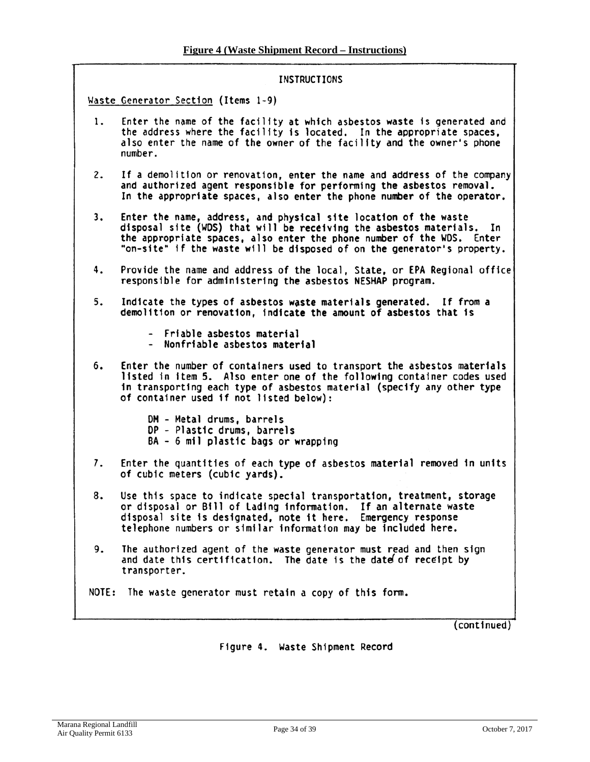#### **INSTRUCTIONS**

Waste Generator Section (Items 1-9)

- Enter the name of the facility at which asbestos waste is generated and 1. the address where the facility is located. In the appropriate spaces, also enter the name of the owner of the facility and the owner's phone number.
- $2.$ If a demolition or renovation, enter the name and address of the company and authorized agent responsible for performing the asbestos removal. In the appropriate spaces, also enter the phone number of the operator.
- $3.$ Enter the name, address, and physical site location of the waste disposal site (WDS) that will be receiving the asbestos materials. In the appropriate spaces, also enter the phone number of the WDS. Enter "on-site" if the waste will be disposed of on the generator's property.
- 4. Provide the name and address of the local, State, or EPA Regional office responsible for administering the asbestos NESHAP program.
- $5.$ Indicate the types of asbestos waste materials generated. If from a demolition or renovation, indicate the amount of asbestos that is
	- Friable asbestos material
	- Nonfriable asbestos material
- 6. Enter the number of containers used to transport the asbestos materials listed in item 5. Also enter one of the following container codes used in transporting each type of asbestos material (specify any other type of container used if not listed below):
	- DM Metal drums, barrels DP - Plastic drums, barrels BA - 6 mil plastic bags or wrapping
- Enter the quantities of each type of asbestos material removed in units 7. of cubic meters (cubic yards).
- 8. Use this space to indicate special transportation, treatment, storage or disposal or Bill of Lading information. If an alternate waste<br>disposal site is designated, note it here. Emergency response telephone numbers or similar information may be included here.
- 9. The authorized agent of the waste generator must read and then sign and date this certification. The date is the date of receipt by transporter.

NOTE: The waste generator must retain a copy of this form.

(continued)

Figure 4. Waste Shipment Record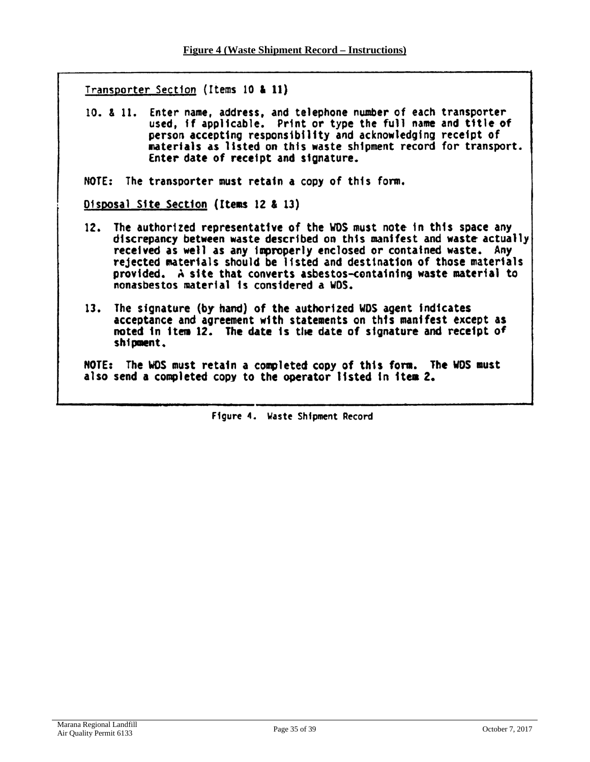Transporter Section (Items 10 & 11)

10. & 11. Enter name, address, and telephone number of each transporter used, if applicable. Print or type the full name and title of person accepting responsibility and acknowledging receipt of materials as listed on this waste shipment record for transport. Enter date of receipt and signature.

NOTE: The transporter must retain a copy of this form.

Disposal Site Section (Items 12 & 13)

- 12. The authorized representative of the WDS must note in this space any discrepancy between waste described on this manifest and waste actually received as well as any improperly enclosed or contained waste. Any rejected materials should be listed and destination of those materials provided. A site that converts asbestos-containing waste material to nonasbestos material is considered a WDS.
- 13. The signature (by hand) of the authorized WDS agent indicates acceptance and agreement with statements on this manifest except as noted in item 12. The date is the date of signature and receipt of shipment.

NOTE: The WDS must retain a completed copy of this form. The WDS must also send a completed copy to the operator listed in item 2.

Figure 4. Waste Shipment Record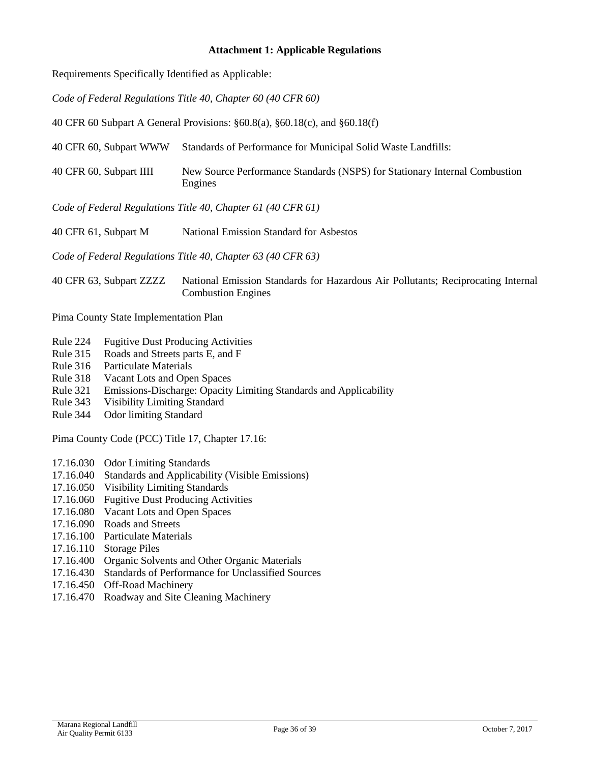#### **Attachment 1: Applicable Regulations**

Requirements Specifically Identified as Applicable:

*Code of Federal Regulations Title 40, Chapter 60 (40 CFR 60)*

40 CFR 60 Subpart A General Provisions: §60.8(a), §60.18(c), and §60.18(f)

40 CFR 60, Subpart WWW Standards of Performance for Municipal Solid Waste Landfills:

40 CFR 60, Subpart IIII New Source Performance Standards (NSPS) for Stationary Internal Combustion Engines

*Code of Federal Regulations Title 40, Chapter 61 (40 CFR 61)*

40 CFR 61, Subpart M National Emission Standard for Asbestos

*Code of Federal Regulations Title 40, Chapter 63 (40 CFR 63)*

40 CFR 63, Subpart ZZZZ National Emission Standards for Hazardous Air Pollutants; Reciprocating Internal Combustion Engines

Pima County State Implementation Plan

- Rule 224 Fugitive Dust Producing Activities
- Rule 315 Roads and Streets parts E, and F
- Rule 316 Particulate Materials
- Rule 318 Vacant Lots and Open Spaces
- Rule 321 Emissions-Discharge: Opacity Limiting Standards and Applicability<br>Rule 343 Visibility Limiting Standard
- Visibility Limiting Standard
- Rule 344 Odor limiting Standard

Pima County Code (PCC) Title 17, Chapter 17.16:

- 17.16.030 Odor Limiting Standards
- 17.16.040 Standards and Applicability (Visible Emissions)
- 17.16.050 Visibility Limiting Standards
- 17.16.060 Fugitive Dust Producing Activities
- 17.16.080 Vacant Lots and Open Spaces
- 17.16.090 Roads and Streets
- 17.16.100 Particulate Materials
- 17.16.110 Storage Piles
- 17.16.400 Organic Solvents and Other Organic Materials
- 17.16.430 Standards of Performance for Unclassified Sources
- 17.16.450 Off-Road Machinery
- 17.16.470 Roadway and Site Cleaning Machinery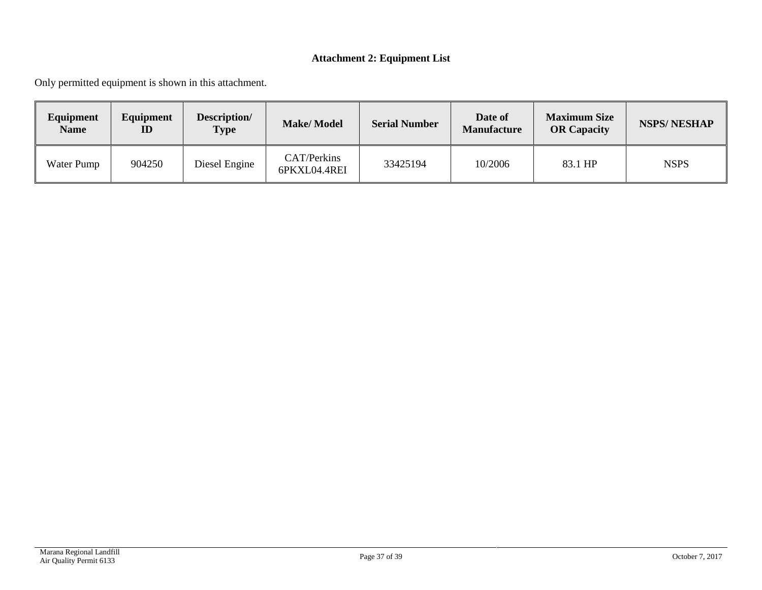# **Attachment 2: Equipment List**

Only permitted equipment is shown in this attachment.

| Equipment<br><b>Name</b> | Equipment<br>$\mathbf{ID}$ | Description/<br><b>Type</b> | <b>Make/Model</b>           | <b>Serial Number</b> | Date of<br><b>Manufacture</b> | <b>Maximum Size</b><br><b>OR Capacity</b> | <b>NSPS/NESHAP</b> |
|--------------------------|----------------------------|-----------------------------|-----------------------------|----------------------|-------------------------------|-------------------------------------------|--------------------|
| Water Pump               | 904250                     | Diesel Engine               | CAT/Perkins<br>6PKXL04.4REI | 33425194             | 10/2006                       | 83.1 HP                                   | <b>NSPS</b>        |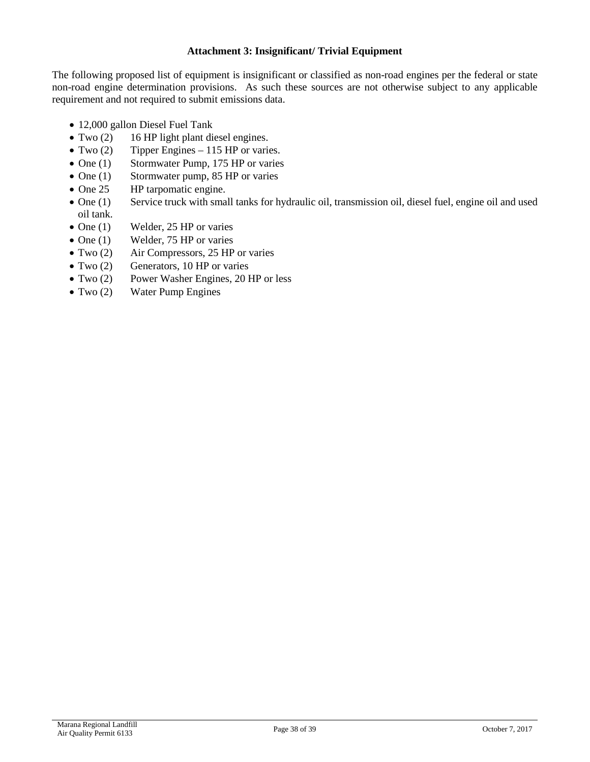#### **Attachment 3: Insignificant/ Trivial Equipment**

The following proposed list of equipment is insignificant or classified as non-road engines per the federal or state non-road engine determination provisions. As such these sources are not otherwise subject to any applicable requirement and not required to submit emissions data.

- 12,000 gallon Diesel Fuel Tank
- Two (2) 16 HP light plant diesel engines.
- Two (2) Tipper Engines 115 HP or varies.
- One (1) Stormwater Pump, 175 HP or varies
- One (1) Stormwater pump, 85 HP or varies
- One 25 HP tarpomatic engine.
- One (1) Service truck with small tanks for hydraulic oil, transmission oil, diesel fuel, engine oil and used oil tank.
- One (1) Welder, 25 HP or varies
- One (1) Welder, 75 HP or varies
- Two (2) Air Compressors, 25 HP or varies
- Two (2) Generators, 10 HP or varies
- Two (2) Power Washer Engines, 20 HP or less
- Two (2) Water Pump Engines